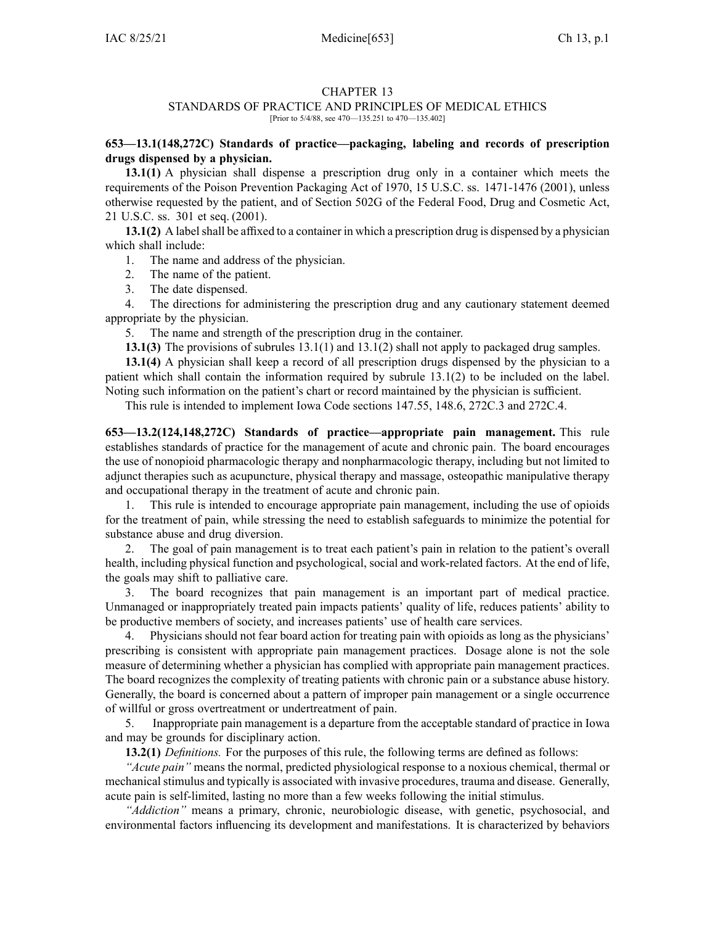### CHAPTER 13

# STANDARDS OF PRACTICE AND PRINCIPLES OF MEDICAL ETHICS

[Prior to 5/4/88, see 470—135.251 to 470—135.402]

# **653—13.1(148,272C) Standards of practice—packaging, labeling and records of prescription drugs dispensed by <sup>a</sup> physician.**

**13.1(1)** A physician shall dispense <sup>a</sup> prescription drug only in <sup>a</sup> container which meets the requirements of the Poison Prevention Packaging Act of 1970, 15 U.S.C. ss. 1471-1476 (2001), unless otherwise requested by the patient, and of Section 502G of the Federal Food, Drug and Cosmetic Act, 21 U.S.C. ss. 301 et seq. (2001).

**13.1(2)** A label shall be affixed to a container in which a prescription drug is dispensed by a physician which shall include:

- 1. The name and address of the physician.
- 2. The name of the patient.
- 3. The date dispensed.

4. The directions for administering the prescription drug and any cautionary statement deemed appropriate by the physician.

5. The name and strength of the prescription drug in the container.

**13.1(3)** The provisions of subrules [13.1\(1\)](https://www.legis.iowa.gov/docs/iac/rule/653.13.1.pdf) and [13.1\(2\)](https://www.legis.iowa.gov/docs/iac/rule/653.13.1.pdf) shall not apply to packaged drug samples.

**13.1(4)** A physician shall keep <sup>a</sup> record of all prescription drugs dispensed by the physician to <sup>a</sup> patient which shall contain the information required by subrule [13.1\(2\)](https://www.legis.iowa.gov/docs/iac/rule/653.13.1.pdf) to be included on the label. Noting such information on the patient's chart or record maintained by the physician is sufficient.

This rule is intended to implement Iowa Code sections [147.55](https://www.legis.iowa.gov/docs/ico/section/147.55.pdf), [148.6](https://www.legis.iowa.gov/docs/ico/section/148.6.pdf), [272C.3](https://www.legis.iowa.gov/docs/ico/section/272C.3.pdf) and [272C.4](https://www.legis.iowa.gov/docs/ico/section/272C.4.pdf).

**653—13.2(124,148,272C) Standards of practice—appropriate pain management.** This rule establishes standards of practice for the managemen<sup>t</sup> of acute and chronic pain. The board encourages the use of nonopioid pharmacologic therapy and nonpharmacologic therapy, including but not limited to adjunct therapies such as acupuncture, physical therapy and massage, osteopathic manipulative therapy and occupational therapy in the treatment of acute and chronic pain.

1. This rule is intended to encourage appropriate pain management, including the use of opioids for the treatment of pain, while stressing the need to establish safeguards to minimize the potential for substance abuse and drug diversion.

2. The goal of pain managemen<sup>t</sup> is to treat each patient's pain in relation to the patient's overall health, including physical function and psychological, social and work-related factors. At the end of life, the goals may shift to palliative care.

3. The board recognizes that pain managemen<sup>t</sup> is an important par<sup>t</sup> of medical practice. Unmanaged or inappropriately treated pain impacts patients' quality of life, reduces patients' ability to be productive members of society, and increases patients' use of health care services.

4. Physicians should not fear board action for treating pain with opioids as long as the physicians' prescribing is consistent with appropriate pain managemen<sup>t</sup> practices. Dosage alone is not the sole measure of determining whether <sup>a</sup> physician has complied with appropriate pain managemen<sup>t</sup> practices. The board recognizes the complexity of treating patients with chronic pain or <sup>a</sup> substance abuse history. Generally, the board is concerned about <sup>a</sup> pattern of improper pain managemen<sup>t</sup> or <sup>a</sup> single occurrence of willful or gross overtreatment or undertreatment of pain.

5. Inappropriate pain managemen<sup>t</sup> is <sup>a</sup> departure from the acceptable standard of practice in Iowa and may be grounds for disciplinary action.

**13.2(1)** *Definitions.* For the purposes of this rule, the following terms are defined as follows:

*"Acute pain"* means the normal, predicted physiological response to <sup>a</sup> noxious chemical, thermal or mechanical stimulus and typically is associated with invasive procedures, trauma and disease. Generally, acute pain is self-limited, lasting no more than <sup>a</sup> few weeks following the initial stimulus.

*"Addiction"* means <sup>a</sup> primary, chronic, neurobiologic disease, with genetic, psychosocial, and environmental factors influencing its development and manifestations. It is characterized by behaviors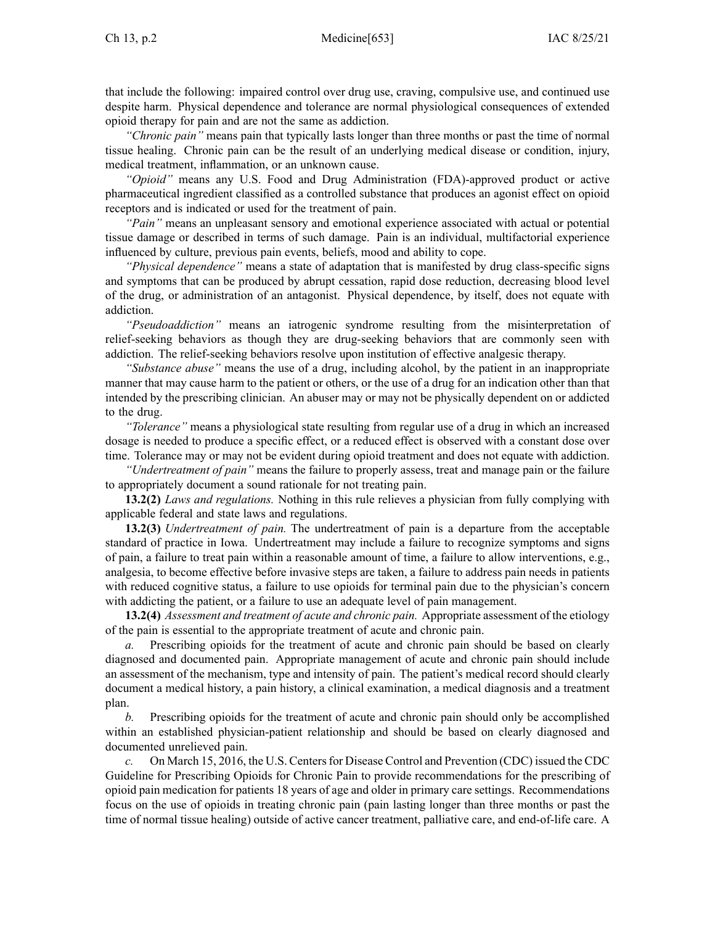that include the following: impaired control over drug use, craving, compulsive use, and continued use despite harm. Physical dependence and tolerance are normal physiological consequences of extended opioid therapy for pain and are not the same as addiction.

*"Chronic pain"* means pain that typically lasts longer than three months or pas<sup>t</sup> the time of normal tissue healing. Chronic pain can be the result of an underlying medical disease or condition, injury, medical treatment, inflammation, or an unknown cause.

*"Opioid"* means any U.S. Food and Drug Administration (FDA)-approved product or active pharmaceutical ingredient classified as <sup>a</sup> controlled substance that produces an agonist effect on opioid receptors and is indicated or used for the treatment of pain.

*"Pain"* means an unpleasant sensory and emotional experience associated with actual or potential tissue damage or described in terms of such damage. Pain is an individual, multifactorial experience influenced by culture, previous pain events, beliefs, mood and ability to cope.

*"Physical dependence"* means <sup>a</sup> state of adaptation that is manifested by drug class-specific signs and symptoms that can be produced by abrupt cessation, rapid dose reduction, decreasing blood level of the drug, or administration of an antagonist. Physical dependence, by itself, does not equate with addiction.

*"Pseudoaddiction"* means an iatrogenic syndrome resulting from the misinterpretation of relief-seeking behaviors as though they are drug-seeking behaviors that are commonly seen with addiction. The relief-seeking behaviors resolve upon institution of effective analgesic therapy.

*"Substance abuse"* means the use of <sup>a</sup> drug, including alcohol, by the patient in an inappropriate manner that may cause harm to the patient or others, or the use of <sup>a</sup> drug for an indication other than that intended by the prescribing clinician. An abuser may or may not be physically dependent on or addicted to the drug.

*"Tolerance"* means <sup>a</sup> physiological state resulting from regular use of <sup>a</sup> drug in which an increased dosage is needed to produce <sup>a</sup> specific effect, or <sup>a</sup> reduced effect is observed with <sup>a</sup> constant dose over time. Tolerance may or may not be evident during opioid treatment and does not equate with addiction.

*"Undertreatment of pain"* means the failure to properly assess, treat and manage pain or the failure to appropriately document <sup>a</sup> sound rationale for not treating pain.

**13.2(2)** *Laws and regulations.* Nothing in this rule relieves <sup>a</sup> physician from fully complying with applicable federal and state laws and regulations.

**13.2(3)** *Undertreatment of pain.* The undertreatment of pain is <sup>a</sup> departure from the acceptable standard of practice in Iowa. Undertreatment may include <sup>a</sup> failure to recognize symptoms and signs of pain, <sup>a</sup> failure to treat pain within <sup>a</sup> reasonable amount of time, <sup>a</sup> failure to allow interventions, e.g., analgesia, to become effective before invasive steps are taken, <sup>a</sup> failure to address pain needs in patients with reduced cognitive status, <sup>a</sup> failure to use opioids for terminal pain due to the physician's concern with addicting the patient, or <sup>a</sup> failure to use an adequate level of pain management.

**13.2(4)** *Assessment and treatment of acute and chronic pain.* Appropriate assessment of the etiology of the pain is essential to the appropriate treatment of acute and chronic pain.

*a.* Prescribing opioids for the treatment of acute and chronic pain should be based on clearly diagnosed and documented pain. Appropriate managemen<sup>t</sup> of acute and chronic pain should include an assessment of the mechanism, type and intensity of pain. The patient's medical record should clearly document <sup>a</sup> medical history, <sup>a</sup> pain history, <sup>a</sup> clinical examination, <sup>a</sup> medical diagnosis and <sup>a</sup> treatment plan.

*b.* Prescribing opioids for the treatment of acute and chronic pain should only be accomplished within an established physician-patient relationship and should be based on clearly diagnosed and documented unrelieved pain.

*c.* On March 15, 2016, the U.S. Centersfor Disease Control and Prevention (CDC) issued the CDC Guideline for Prescribing Opioids for Chronic Pain to provide recommendations for the prescribing of opioid pain medication for patients 18 years of age and older in primary care settings. Recommendations focus on the use of opioids in treating chronic pain (pain lasting longer than three months or pas<sup>t</sup> the time of normal tissue healing) outside of active cancer treatment, palliative care, and end-of-life care. A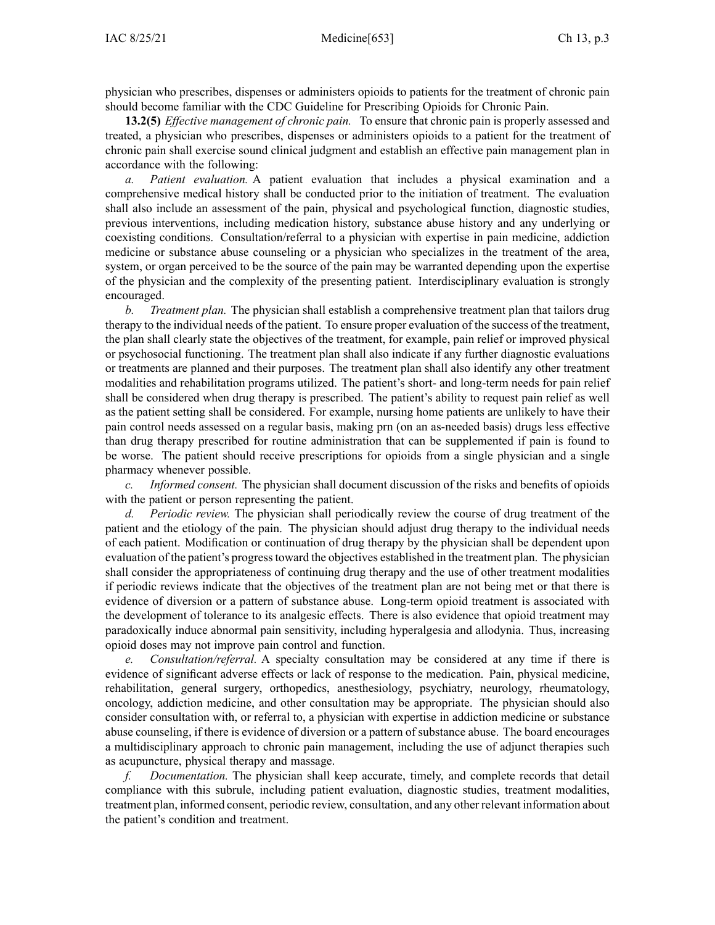physician who prescribes, dispenses or administers opioids to patients for the treatment of chronic pain should become familiar with the CDC Guideline for Prescribing Opioids for Chronic Pain.

**13.2(5)** *Effective managemen<sup>t</sup> of chronic pain.* To ensure that chronic pain is properly assessed and treated, <sup>a</sup> physician who prescribes, dispenses or administers opioids to <sup>a</sup> patient for the treatment of chronic pain shall exercise sound clinical judgment and establish an effective pain managemen<sup>t</sup> plan in accordance with the following:

*a. Patient evaluation.* A patient evaluation that includes <sup>a</sup> physical examination and <sup>a</sup> comprehensive medical history shall be conducted prior to the initiation of treatment. The evaluation shall also include an assessment of the pain, physical and psychological function, diagnostic studies, previous interventions, including medication history, substance abuse history and any underlying or coexisting conditions. Consultation/referral to <sup>a</sup> physician with expertise in pain medicine, addiction medicine or substance abuse counseling or <sup>a</sup> physician who specializes in the treatment of the area, system, or organ perceived to be the source of the pain may be warranted depending upon the expertise of the physician and the complexity of the presenting patient. Interdisciplinary evaluation is strongly encouraged.

*b. Treatment plan.* The physician shall establish <sup>a</sup> comprehensive treatment plan that tailors drug therapy to the individual needs of the patient. To ensure proper evaluation of the success of the treatment, the plan shall clearly state the objectives of the treatment, for example, pain relief or improved physical or psychosocial functioning. The treatment plan shall also indicate if any further diagnostic evaluations or treatments are planned and their purposes. The treatment plan shall also identify any other treatment modalities and rehabilitation programs utilized. The patient's short- and long-term needs for pain relief shall be considered when drug therapy is prescribed. The patient's ability to reques<sup>t</sup> pain relief as well as the patient setting shall be considered. For example, nursing home patients are unlikely to have their pain control needs assessed on <sup>a</sup> regular basis, making prn (on an as-needed basis) drugs less effective than drug therapy prescribed for routine administration that can be supplemented if pain is found to be worse. The patient should receive prescriptions for opioids from <sup>a</sup> single physician and <sup>a</sup> single pharmacy whenever possible.

*c. Informed consent.* The physician shall document discussion of the risks and benefits of opioids with the patient or person representing the patient.

*d. Periodic review.* The physician shall periodically review the course of drug treatment of the patient and the etiology of the pain. The physician should adjust drug therapy to the individual needs of each patient. Modification or continuation of drug therapy by the physician shall be dependent upon evaluation of the patient's progresstoward the objectives established in the treatment plan. The physician shall consider the appropriateness of continuing drug therapy and the use of other treatment modalities if periodic reviews indicate that the objectives of the treatment plan are not being met or that there is evidence of diversion or <sup>a</sup> pattern of substance abuse. Long-term opioid treatment is associated with the development of tolerance to its analgesic effects. There is also evidence that opioid treatment may paradoxically induce abnormal pain sensitivity, including hyperalgesia and allodynia. Thus, increasing opioid doses may not improve pain control and function.

*e. Consultation/referral.* A specialty consultation may be considered at any time if there is evidence of significant adverse effects or lack of response to the medication. Pain, physical medicine, rehabilitation, general surgery, orthopedics, anesthesiology, psychiatry, neurology, rheumatology, oncology, addiction medicine, and other consultation may be appropriate. The physician should also consider consultation with, or referral to, <sup>a</sup> physician with expertise in addiction medicine or substance abuse counseling, if there is evidence of diversion or <sup>a</sup> pattern of substance abuse. The board encourages <sup>a</sup> multidisciplinary approach to chronic pain management, including the use of adjunct therapies such as acupuncture, physical therapy and massage.

*f. Documentation.* The physician shall keep accurate, timely, and complete records that detail compliance with this subrule, including patient evaluation, diagnostic studies, treatment modalities, treatment plan, informed consent, periodic review, consultation, and any other relevant information about the patient's condition and treatment.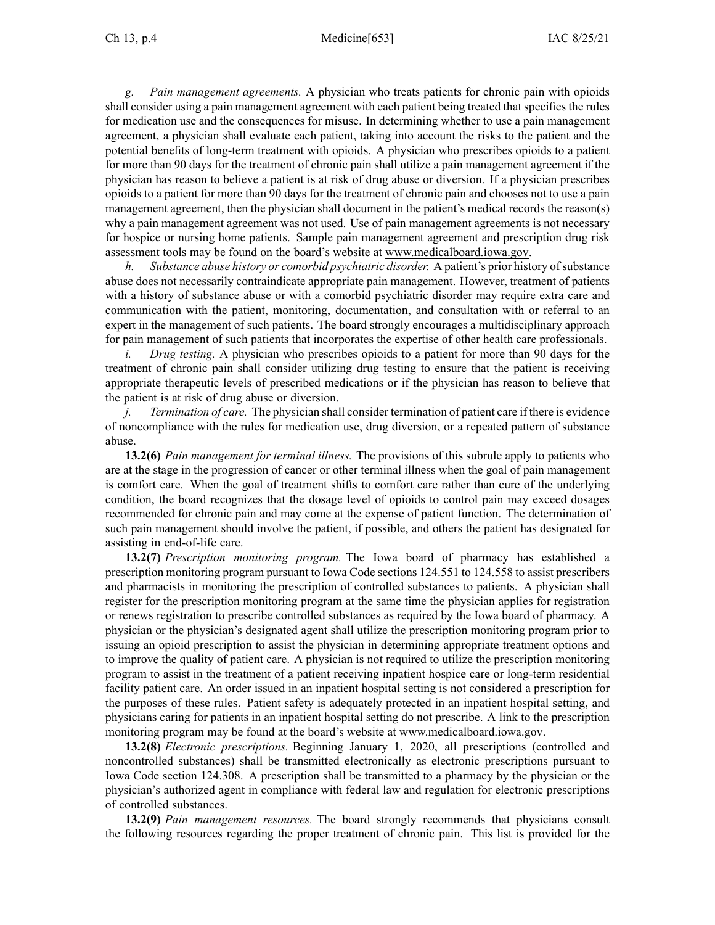*g. Pain managemen<sup>t</sup> agreements.* A physician who treats patients for chronic pain with opioids shall consider using <sup>a</sup> pain managemen<sup>t</sup> agreemen<sup>t</sup> with each patient being treated that specifies the rules for medication use and the consequences for misuse. In determining whether to use <sup>a</sup> pain managemen<sup>t</sup> agreement, <sup>a</sup> physician shall evaluate each patient, taking into account the risks to the patient and the potential benefits of long-term treatment with opioids. A physician who prescribes opioids to <sup>a</sup> patient for more than 90 days for the treatment of chronic pain shall utilize <sup>a</sup> pain managemen<sup>t</sup> agreemen<sup>t</sup> if the physician has reason to believe <sup>a</sup> patient is at risk of drug abuse or diversion. If <sup>a</sup> physician prescribes opioids to <sup>a</sup> patient for more than 90 days for the treatment of chronic pain and chooses not to use <sup>a</sup> pain managemen<sup>t</sup> agreement, then the physician shall document in the patient's medical records the reason(s) why <sup>a</sup> pain managemen<sup>t</sup> agreemen<sup>t</sup> was not used. Use of pain managemen<sup>t</sup> agreements is not necessary for hospice or nursing home patients. Sample pain managemen<sup>t</sup> agreemen<sup>t</sup> and prescription drug risk assessment tools may be found on the board's website at [www.medicalboard.iowa.gov](http://www.medicalboard.iowa.gov).

*h. Substance abuse history or comorbid psychiatric disorder.* A patient's prior history ofsubstance abuse does not necessarily contraindicate appropriate pain management. However, treatment of patients with <sup>a</sup> history of substance abuse or with <sup>a</sup> comorbid psychiatric disorder may require extra care and communication with the patient, monitoring, documentation, and consultation with or referral to an exper<sup>t</sup> in the managemen<sup>t</sup> of such patients. The board strongly encourages <sup>a</sup> multidisciplinary approach for pain managemen<sup>t</sup> of such patients that incorporates the expertise of other health care professionals.

*i. Drug testing.* A physician who prescribes opioids to <sup>a</sup> patient for more than 90 days for the treatment of chronic pain shall consider utilizing drug testing to ensure that the patient is receiving appropriate therapeutic levels of prescribed medications or if the physician has reason to believe that the patient is at risk of drug abuse or diversion.

*j. Termination of care.* The physician shall consider termination of patient care if there is evidence of noncompliance with the rules for medication use, drug diversion, or <sup>a</sup> repeated pattern of substance abuse.

**13.2(6)** *Pain managemen<sup>t</sup> for terminal illness.* The provisions of this subrule apply to patients who are at the stage in the progression of cancer or other terminal illness when the goal of pain managemen<sup>t</sup> is comfort care. When the goal of treatment shifts to comfort care rather than cure of the underlying condition, the board recognizes that the dosage level of opioids to control pain may exceed dosages recommended for chronic pain and may come at the expense of patient function. The determination of such pain managemen<sup>t</sup> should involve the patient, if possible, and others the patient has designated for assisting in end-of-life care.

**13.2(7)** *Prescription monitoring program.* The Iowa board of pharmacy has established <sup>a</sup> prescription monitoring program pursuan<sup>t</sup> to Iowa Code sections 124.551 to [124.558](https://www.legis.iowa.gov/docs/ico/section/124.551-558.pdf) to assist prescribers and pharmacists in monitoring the prescription of controlled substances to patients. A physician shall register for the prescription monitoring program at the same time the physician applies for registration or renews registration to prescribe controlled substances as required by the Iowa board of pharmacy. A physician or the physician's designated agen<sup>t</sup> shall utilize the prescription monitoring program prior to issuing an opioid prescription to assist the physician in determining appropriate treatment options and to improve the quality of patient care. A physician is not required to utilize the prescription monitoring program to assist in the treatment of <sup>a</sup> patient receiving inpatient hospice care or long-term residential facility patient care. An order issued in an inpatient hospital setting is not considered <sup>a</sup> prescription for the purposes of these rules. Patient safety is adequately protected in an inpatient hospital setting, and physicians caring for patients in an inpatient hospital setting do not prescribe. A link to the prescription monitoring program may be found at the board's website at [www.medicalboard.iowa.gov](http://www.medicalboard.iowa.gov).

**13.2(8)** *Electronic prescriptions.* Beginning January 1, 2020, all prescriptions (controlled and noncontrolled substances) shall be transmitted electronically as electronic prescriptions pursuan<sup>t</sup> to Iowa Code section [124.308](https://www.legis.iowa.gov/docs/ico/section/124.308.pdf). A prescription shall be transmitted to <sup>a</sup> pharmacy by the physician or the physician's authorized agen<sup>t</sup> in compliance with federal law and regulation for electronic prescriptions of controlled substances.

**13.2(9)** *Pain managemen<sup>t</sup> resources.* The board strongly recommends that physicians consult the following resources regarding the proper treatment of chronic pain. This list is provided for the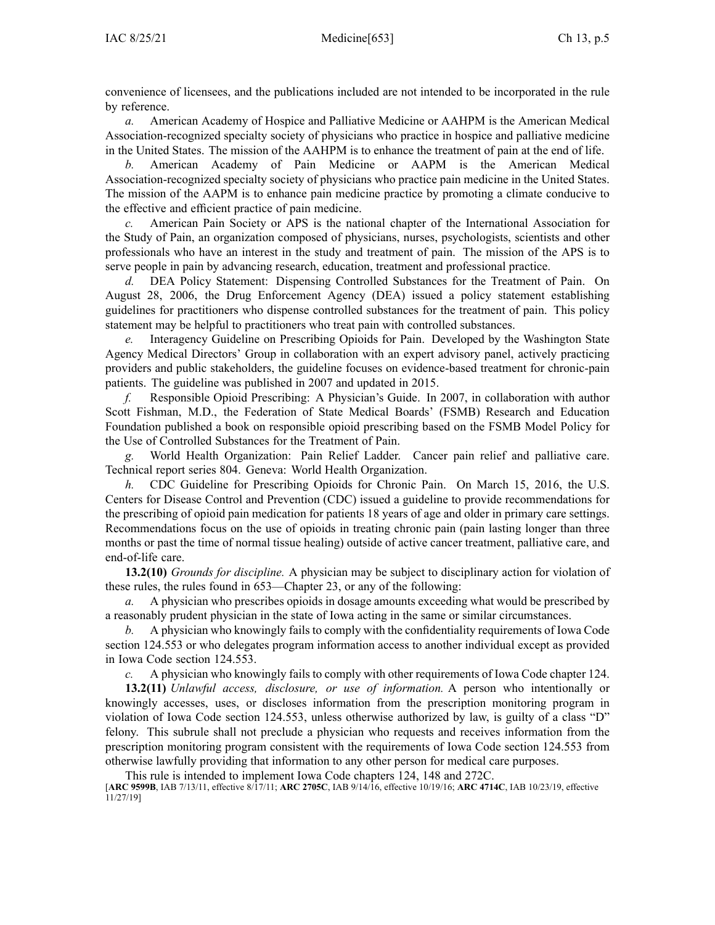convenience of licensees, and the publications included are not intended to be incorporated in the rule by reference.

*a.* American Academy of Hospice and Palliative Medicine or AAHPM is the American Medical Association-recognized specialty society of physicians who practice in hospice and palliative medicine in the United States. The mission of the AAHPM is to enhance the treatment of pain at the end of life.

*b.* American Academy of Pain Medicine or AAPM is the American Medical Association-recognized specialty society of physicians who practice pain medicine in the United States. The mission of the AAPM is to enhance pain medicine practice by promoting <sup>a</sup> climate conducive to the effective and efficient practice of pain medicine.

*c.* American Pain Society or APS is the national chapter of the International Association for the Study of Pain, an organization composed of physicians, nurses, psychologists, scientists and other professionals who have an interest in the study and treatment of pain. The mission of the APS is to serve people in pain by advancing research, education, treatment and professional practice.

*d.* DEA Policy Statement: Dispensing Controlled Substances for the Treatment of Pain. On August 28, 2006, the Drug Enforcement Agency (DEA) issued <sup>a</sup> policy statement establishing guidelines for practitioners who dispense controlled substances for the treatment of pain. This policy statement may be helpful to practitioners who treat pain with controlled substances.

*e.* Interagency Guideline on Prescribing Opioids for Pain. Developed by the Washington State Agency Medical Directors' Group in collaboration with an exper<sup>t</sup> advisory panel, actively practicing providers and public stakeholders, the guideline focuses on evidence-based treatment for chronic-pain patients. The guideline was published in 2007 and updated in 2015.

*f.* Responsible Opioid Prescribing: A Physician's Guide. In 2007, in collaboration with author Scott Fishman, M.D., the Federation of State Medical Boards' (FSMB) Research and Education Foundation published <sup>a</sup> book on responsible opioid prescribing based on the FSMB Model Policy for the Use of Controlled Substances for the Treatment of Pain.

*g.* World Health Organization: Pain Relief Ladder. Cancer pain relief and palliative care. Technical repor<sup>t</sup> series 804. Geneva: World Health Organization.

*h.* CDC Guideline for Prescribing Opioids for Chronic Pain. On March 15, 2016, the U.S. Centers for Disease Control and Prevention (CDC) issued <sup>a</sup> guideline to provide recommendations for the prescribing of opioid pain medication for patients 18 years of age and older in primary care settings. Recommendations focus on the use of opioids in treating chronic pain (pain lasting longer than three months or pas<sup>t</sup> the time of normal tissue healing) outside of active cancer treatment, palliative care, and end-of-life care.

**13.2(10)** *Grounds for discipline.* A physician may be subject to disciplinary action for violation of these rules, the rules found in [653—Chapter](https://www.legis.iowa.gov/docs/iac/chapter/653.23.pdf) 23, or any of the following:

*a.* A physician who prescribes opioids in dosage amounts exceeding what would be prescribed by <sup>a</sup> reasonably prudent physician in the state of Iowa acting in the same or similar circumstances.

*b.* A physician who knowingly fails to comply with the confidentiality requirements of Iowa Code section [124.553](https://www.legis.iowa.gov/docs/ico/section/124.553.pdf) or who delegates program information access to another individual excep<sup>t</sup> as provided in Iowa Code section [124.553](https://www.legis.iowa.gov/docs/ico/section/124.553.pdf).

*c.* A physician who knowingly fails to comply with other requirements of Iowa Code chapter [124](https://www.legis.iowa.gov/docs/ico/chapter/124.pdf).

**13.2(11)** *Unlawful access, disclosure, or use of information.* A person who intentionally or knowingly accesses, uses, or discloses information from the prescription monitoring program in violation of Iowa Code section [124.553](https://www.legis.iowa.gov/docs/ico/section/124.553.pdf), unless otherwise authorized by law, is guilty of <sup>a</sup> class "D" felony. This subrule shall not preclude <sup>a</sup> physician who requests and receives information from the prescription monitoring program consistent with the requirements of Iowa Code section [124.553](https://www.legis.iowa.gov/docs/ico/section/124.553.pdf) from otherwise lawfully providing that information to any other person for medical care purposes.

This rule is intended to implement Iowa Code chapters [124](https://www.legis.iowa.gov/docs/ico/chapter/124.pdf), [148](https://www.legis.iowa.gov/docs/ico/chapter/148.pdf) and [272C](https://www.legis.iowa.gov/docs/ico/chapter/272C.pdf).

[**ARC [9599B](https://www.legis.iowa.gov/docs/aco/arc/9599B.pdf)**, IAB 7/13/11, effective 8/17/11; **ARC [2705C](https://www.legis.iowa.gov/docs/aco/arc/2705C.pdf)**, IAB 9/14/16, effective 10/19/16; **ARC [4714C](https://www.legis.iowa.gov/docs/aco/arc/4714C.pdf)**, IAB 10/23/19, effective 11/27/19]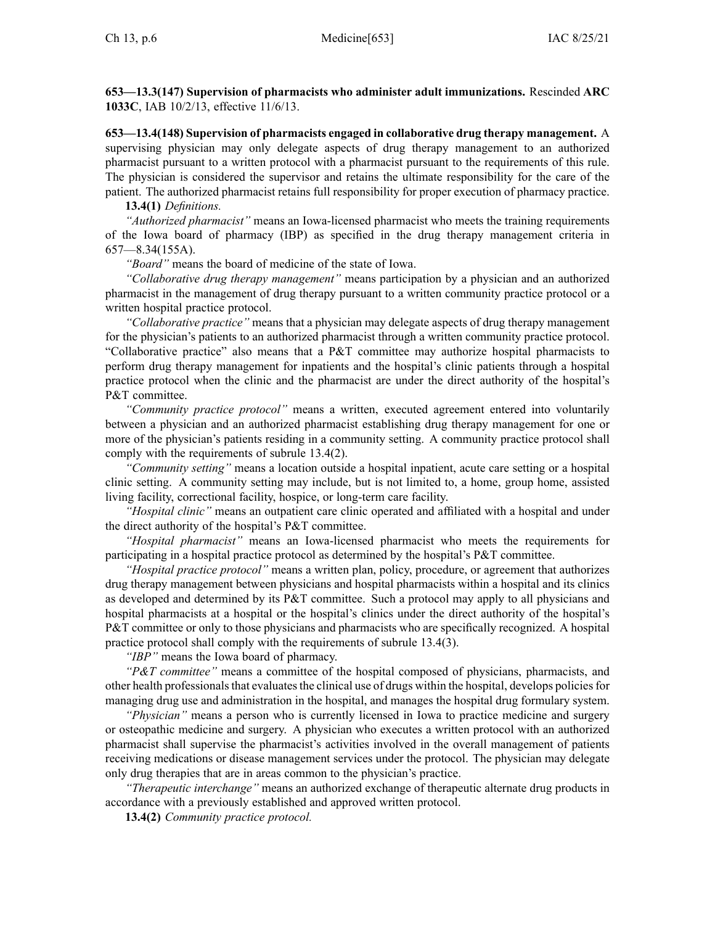**653—13.3(147) Supervision of pharmacists who administer adult immunizations.** Rescinded **ARC 1033C**, IAB [10/2/13](https://www.legis.iowa.gov/docs/aco/bulletin/10-02-2013.pdf), effective 11/6/13.

**653—13.4(148) Supervision of pharmacists engaged in collaborative drug therapy management.** A supervising physician may only delegate aspects of drug therapy managemen<sup>t</sup> to an authorized pharmacist pursuan<sup>t</sup> to <sup>a</sup> written protocol with <sup>a</sup> pharmacist pursuan<sup>t</sup> to the requirements of this rule. The physician is considered the supervisor and retains the ultimate responsibility for the care of the patient. The authorized pharmacist retains full responsibility for proper execution of pharmacy practice.

**13.4(1)** *Definitions.*

*"Authorized pharmacist"* means an Iowa-licensed pharmacist who meets the training requirements of the Iowa board of pharmacy (IBP) as specified in the drug therapy managemen<sup>t</sup> criteria in [657—8.34](https://www.legis.iowa.gov/docs/iac/rule/657.8.34.pdf)(155A).

*"Board"* means the board of medicine of the state of Iowa.

*"Collaborative drug therapy management"* means participation by <sup>a</sup> physician and an authorized pharmacist in the managemen<sup>t</sup> of drug therapy pursuan<sup>t</sup> to <sup>a</sup> written community practice protocol or <sup>a</sup> written hospital practice protocol.

*"Collaborative practice"* means that <sup>a</sup> physician may delegate aspects of drug therapy managemen<sup>t</sup> for the physician's patients to an authorized pharmacist through <sup>a</sup> written community practice protocol. "Collaborative practice" also means that <sup>a</sup> P&T committee may authorize hospital pharmacists to perform drug therapy managemen<sup>t</sup> for inpatients and the hospital's clinic patients through <sup>a</sup> hospital practice protocol when the clinic and the pharmacist are under the direct authority of the hospital's P&T committee.

*"Community practice protocol"* means <sup>a</sup> written, executed agreemen<sup>t</sup> entered into voluntarily between <sup>a</sup> physician and an authorized pharmacist establishing drug therapy managemen<sup>t</sup> for one or more of the physician's patients residing in <sup>a</sup> community setting. A community practice protocol shall comply with the requirements of subrule [13.4\(2\)](https://www.legis.iowa.gov/docs/iac/rule/653.13.4.pdf).

*"Community setting"* means <sup>a</sup> location outside <sup>a</sup> hospital inpatient, acute care setting or <sup>a</sup> hospital clinic setting. A community setting may include, but is not limited to, <sup>a</sup> home, group home, assisted living facility, correctional facility, hospice, or long-term care facility.

*"Hospital clinic"* means an outpatient care clinic operated and affiliated with <sup>a</sup> hospital and under the direct authority of the hospital's P&T committee.

*"Hospital pharmacist"* means an Iowa-licensed pharmacist who meets the requirements for participating in <sup>a</sup> hospital practice protocol as determined by the hospital's P&T committee.

*"Hospital practice protocol"* means <sup>a</sup> written plan, policy, procedure, or agreemen<sup>t</sup> that authorizes drug therapy managemen<sup>t</sup> between physicians and hospital pharmacists within <sup>a</sup> hospital and its clinics as developed and determined by its P&T committee. Such <sup>a</sup> protocol may apply to all physicians and hospital pharmacists at <sup>a</sup> hospital or the hospital's clinics under the direct authority of the hospital's P&T committee or only to those physicians and pharmacists who are specifically recognized. A hospital practice protocol shall comply with the requirements of subrule [13.4\(3\)](https://www.legis.iowa.gov/docs/iac/rule/653.13.4.pdf).

*"IBP"* means the Iowa board of pharmacy.

*"P&T committee"* means <sup>a</sup> committee of the hospital composed of physicians, pharmacists, and other health professionals that evaluates the clinical use of drugs within the hospital, develops policies for managing drug use and administration in the hospital, and manages the hospital drug formulary system.

*"Physician"* means <sup>a</sup> person who is currently licensed in Iowa to practice medicine and surgery or osteopathic medicine and surgery. A physician who executes <sup>a</sup> written protocol with an authorized pharmacist shall supervise the pharmacist's activities involved in the overall managemen<sup>t</sup> of patients receiving medications or disease managemen<sup>t</sup> services under the protocol. The physician may delegate only drug therapies that are in areas common to the physician's practice.

*"Therapeutic interchange"* means an authorized exchange of therapeutic alternate drug products in accordance with <sup>a</sup> previously established and approved written protocol.

**13.4(2)** *Community practice protocol.*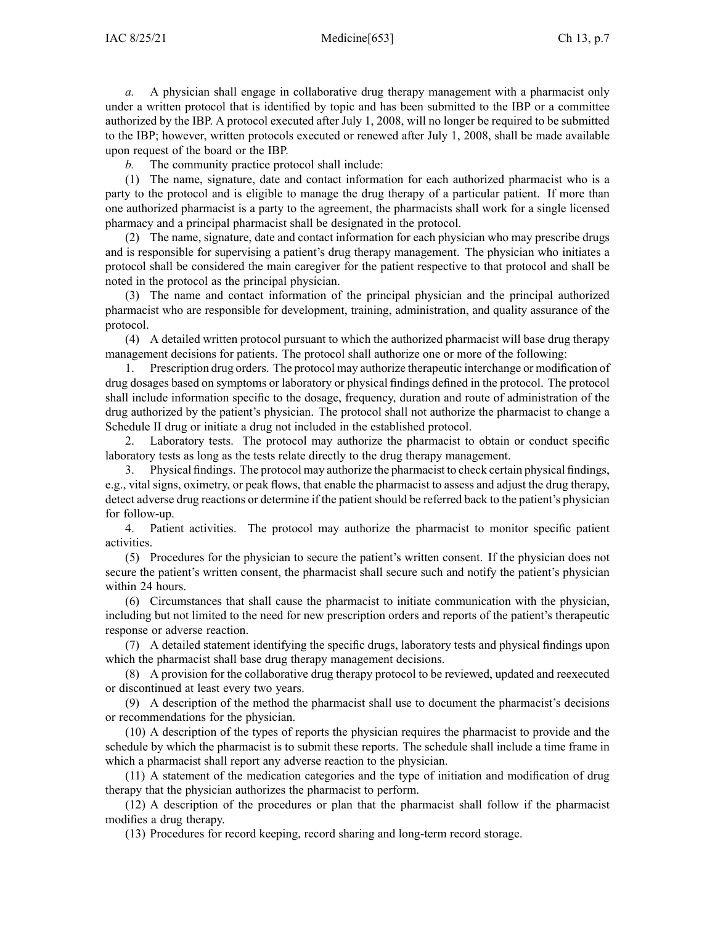*a.* A physician shall engage in collaborative drug therapy managemen<sup>t</sup> with <sup>a</sup> pharmacist only under <sup>a</sup> written protocol that is identified by topic and has been submitted to the IBP or <sup>a</sup> committee authorized by the IBP. A protocol executed after July 1, 2008, will no longer be required to be submitted to the IBP; however, written protocols executed or renewed after July 1, 2008, shall be made available upon reques<sup>t</sup> of the board or the IBP.

*b.* The community practice protocol shall include:

(1) The name, signature, date and contact information for each authorized pharmacist who is <sup>a</sup> party to the protocol and is eligible to manage the drug therapy of <sup>a</sup> particular patient. If more than one authorized pharmacist is <sup>a</sup> party to the agreement, the pharmacists shall work for <sup>a</sup> single licensed pharmacy and <sup>a</sup> principal pharmacist shall be designated in the protocol.

(2) The name, signature, date and contact information for each physician who may prescribe drugs and is responsible for supervising <sup>a</sup> patient's drug therapy management. The physician who initiates <sup>a</sup> protocol shall be considered the main caregiver for the patient respective to that protocol and shall be noted in the protocol as the principal physician.

(3) The name and contact information of the principal physician and the principal authorized pharmacist who are responsible for development, training, administration, and quality assurance of the protocol.

(4) A detailed written protocol pursuan<sup>t</sup> to which the authorized pharmacist will base drug therapy managemen<sup>t</sup> decisions for patients. The protocol shall authorize one or more of the following:

1. Prescription drug orders. The protocol may authorize therapeutic interchange or modification of drug dosages based on symptoms or laboratory or physical findings defined in the protocol. The protocol shall include information specific to the dosage, frequency, duration and route of administration of the drug authorized by the patient's physician. The protocol shall not authorize the pharmacist to change <sup>a</sup> Schedule II drug or initiate <sup>a</sup> drug not included in the established protocol.

2. Laboratory tests. The protocol may authorize the pharmacist to obtain or conduct specific laboratory tests as long as the tests relate directly to the drug therapy management.

3. Physical findings. The protocol may authorize the pharmacist to check certain physical findings, e.g., vital signs, oximetry, or peak flows, that enable the pharmacist to assess and adjust the drug therapy, detect adverse drug reactions or determine if the patient should be referred back to the patient's physician for follow-up.

4. Patient activities. The protocol may authorize the pharmacist to monitor specific patient activities.

(5) Procedures for the physician to secure the patient's written consent. If the physician does not secure the patient's written consent, the pharmacist shall secure such and notify the patient's physician within 24 hours.

(6) Circumstances that shall cause the pharmacist to initiate communication with the physician, including but not limited to the need for new prescription orders and reports of the patient's therapeutic response or adverse reaction.

(7) A detailed statement identifying the specific drugs, laboratory tests and physical findings upon which the pharmacist shall base drug therapy managemen<sup>t</sup> decisions.

(8) A provision for the collaborative drug therapy protocol to be reviewed, updated and reexecuted or discontinued at least every two years.

(9) A description of the method the pharmacist shall use to document the pharmacist's decisions or recommendations for the physician.

(10) A description of the types of reports the physician requires the pharmacist to provide and the schedule by which the pharmacist is to submit these reports. The schedule shall include <sup>a</sup> time frame in which <sup>a</sup> pharmacist shall repor<sup>t</sup> any adverse reaction to the physician.

(11) A statement of the medication categories and the type of initiation and modification of drug therapy that the physician authorizes the pharmacist to perform.

(12) A description of the procedures or plan that the pharmacist shall follow if the pharmacist modifies <sup>a</sup> drug therapy.

(13) Procedures for record keeping, record sharing and long-term record storage.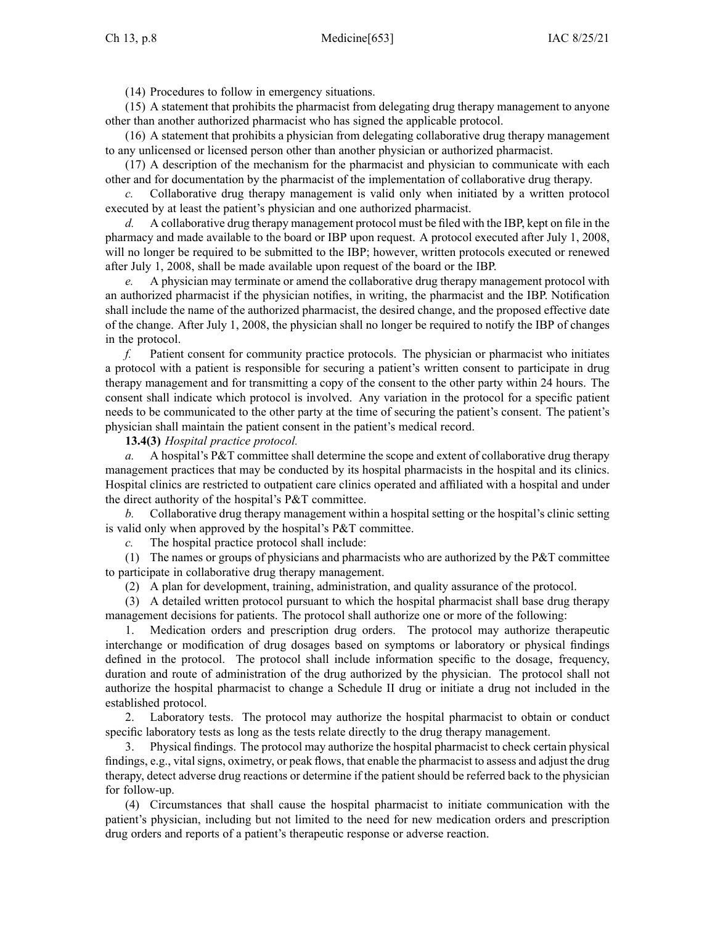(14) Procedures to follow in emergency situations.

(15) A statement that prohibits the pharmacist from delegating drug therapy managemen<sup>t</sup> to anyone other than another authorized pharmacist who has signed the applicable protocol.

(16) A statement that prohibits <sup>a</sup> physician from delegating collaborative drug therapy managemen<sup>t</sup> to any unlicensed or licensed person other than another physician or authorized pharmacist.

(17) A description of the mechanism for the pharmacist and physician to communicate with each other and for documentation by the pharmacist of the implementation of collaborative drug therapy.

*c.* Collaborative drug therapy managemen<sup>t</sup> is valid only when initiated by <sup>a</sup> written protocol executed by at least the patient's physician and one authorized pharmacist.

*d.* A collaborative drug therapy managemen<sup>t</sup> protocol must be filed with the IBP, kept on file in the pharmacy and made available to the board or IBP upon request. A protocol executed after July 1, 2008, will no longer be required to be submitted to the IBP; however, written protocols executed or renewed after July 1, 2008, shall be made available upon reques<sup>t</sup> of the board or the IBP.

*e.* A physician may terminate or amend the collaborative drug therapy managemen<sup>t</sup> protocol with an authorized pharmacist if the physician notifies, in writing, the pharmacist and the IBP. Notification shall include the name of the authorized pharmacist, the desired change, and the proposed effective date of the change. After July 1, 2008, the physician shall no longer be required to notify the IBP of changes in the protocol.

*f.* Patient consent for community practice protocols. The physician or pharmacist who initiates <sup>a</sup> protocol with <sup>a</sup> patient is responsible for securing <sup>a</sup> patient's written consent to participate in drug therapy managemen<sup>t</sup> and for transmitting <sup>a</sup> copy of the consent to the other party within 24 hours. The consent shall indicate which protocol is involved. Any variation in the protocol for <sup>a</sup> specific patient needs to be communicated to the other party at the time of securing the patient's consent. The patient's physician shall maintain the patient consent in the patient's medical record.

**13.4(3)** *Hospital practice protocol.*

*a.* A hospital's P&T committee shall determine the scope and extent of collaborative drug therapy managemen<sup>t</sup> practices that may be conducted by its hospital pharmacists in the hospital and its clinics. Hospital clinics are restricted to outpatient care clinics operated and affiliated with <sup>a</sup> hospital and under the direct authority of the hospital's P&T committee.

*b.* Collaborative drug therapy managemen<sup>t</sup> within <sup>a</sup> hospital setting or the hospital's clinic setting is valid only when approved by the hospital's P&T committee.

*c.* The hospital practice protocol shall include:

(1) The names or groups of physicians and pharmacists who are authorized by the P&T committee to participate in collaborative drug therapy management.

(2) A plan for development, training, administration, and quality assurance of the protocol.

(3) A detailed written protocol pursuan<sup>t</sup> to which the hospital pharmacist shall base drug therapy managemen<sup>t</sup> decisions for patients. The protocol shall authorize one or more of the following:

1. Medication orders and prescription drug orders. The protocol may authorize therapeutic interchange or modification of drug dosages based on symptoms or laboratory or physical findings defined in the protocol. The protocol shall include information specific to the dosage, frequency, duration and route of administration of the drug authorized by the physician. The protocol shall not authorize the hospital pharmacist to change <sup>a</sup> Schedule II drug or initiate <sup>a</sup> drug not included in the established protocol.

2. Laboratory tests. The protocol may authorize the hospital pharmacist to obtain or conduct specific laboratory tests as long as the tests relate directly to the drug therapy management.

3. Physical findings. The protocol may authorize the hospital pharmacist to check certain physical findings, e.g., vital signs, oximetry, or peak flows, that enable the pharmacist to assess and adjust the drug therapy, detect adverse drug reactions or determine if the patient should be referred back to the physician for follow-up.

(4) Circumstances that shall cause the hospital pharmacist to initiate communication with the patient's physician, including but not limited to the need for new medication orders and prescription drug orders and reports of <sup>a</sup> patient's therapeutic response or adverse reaction.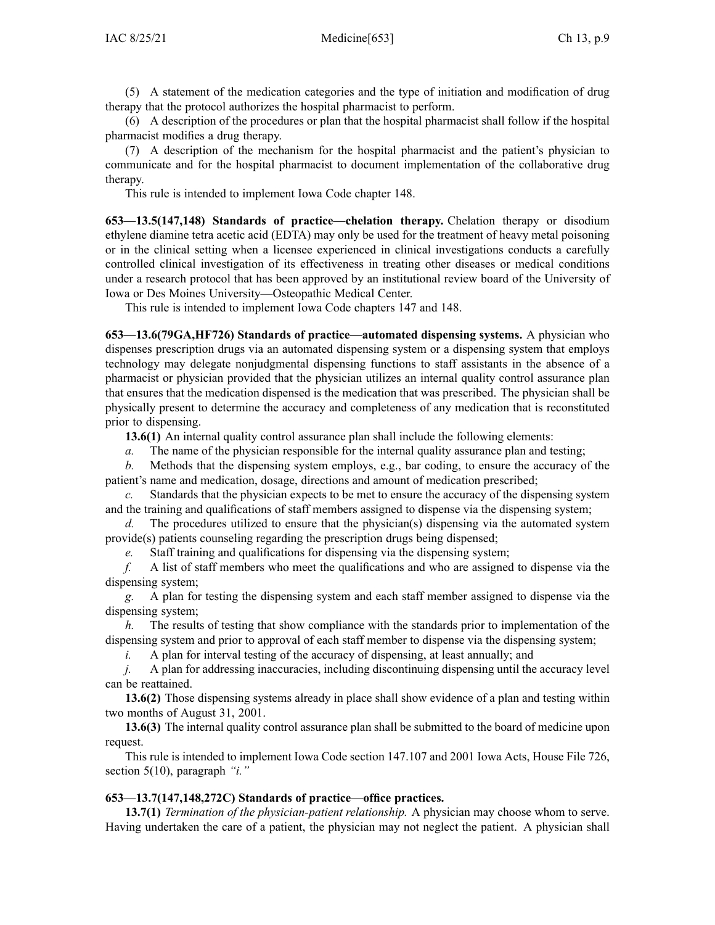(5) A statement of the medication categories and the type of initiation and modification of drug therapy that the protocol authorizes the hospital pharmacist to perform.

(6) A description of the procedures or plan that the hospital pharmacist shall follow if the hospital pharmacist modifies <sup>a</sup> drug therapy.

(7) A description of the mechanism for the hospital pharmacist and the patient's physician to communicate and for the hospital pharmacist to document implementation of the collaborative drug therapy.

This rule is intended to implement Iowa Code chapter [148](https://www.legis.iowa.gov/docs/ico/chapter/148.pdf).

**653—13.5(147,148) Standards of practice—chelation therapy.** Chelation therapy or disodium ethylene diamine tetra acetic acid (EDTA) may only be used for the treatment of heavy metal poisoning or in the clinical setting when <sup>a</sup> licensee experienced in clinical investigations conducts <sup>a</sup> carefully controlled clinical investigation of its effectiveness in treating other diseases or medical conditions under <sup>a</sup> research protocol that has been approved by an institutional review board of the University of Iowa or Des Moines University—Osteopathic Medical Center.

This rule is intended to implement Iowa Code chapters [147](https://www.legis.iowa.gov/docs/ico/chapter/147.pdf) and [148](https://www.legis.iowa.gov/docs/ico/chapter/148.pdf).

**653—13.6(79GA,HF726) Standards of practice—automated dispensing systems.** A physician who dispenses prescription drugs via an automated dispensing system or <sup>a</sup> dispensing system that employs technology may delegate nonjudgmental dispensing functions to staff assistants in the absence of <sup>a</sup> pharmacist or physician provided that the physician utilizes an internal quality control assurance plan that ensures that the medication dispensed is the medication that was prescribed. The physician shall be physically presen<sup>t</sup> to determine the accuracy and completeness of any medication that is reconstituted prior to dispensing.

**13.6(1)** An internal quality control assurance plan shall include the following elements:

*a.* The name of the physician responsible for the internal quality assurance plan and testing;

*b.* Methods that the dispensing system employs, e.g., bar coding, to ensure the accuracy of the patient's name and medication, dosage, directions and amount of medication prescribed;

*c.* Standards that the physician expects to be met to ensure the accuracy of the dispensing system and the training and qualifications of staff members assigned to dispense via the dispensing system;

*d.* The procedures utilized to ensure that the physician(s) dispensing via the automated system provide(s) patients counseling regarding the prescription drugs being dispensed;

*e.* Staff training and qualifications for dispensing via the dispensing system;

*f.* A list of staff members who meet the qualifications and who are assigned to dispense via the dispensing system;

*g.* A plan for testing the dispensing system and each staff member assigned to dispense via the dispensing system;

*h.* The results of testing that show compliance with the standards prior to implementation of the dispensing system and prior to approval of each staff member to dispense via the dispensing system;

*i.* A plan for interval testing of the accuracy of dispensing, at least annually; and

*j.* A plan for addressing inaccuracies, including discontinuing dispensing until the accuracy level can be reattained.

**13.6(2)** Those dispensing systems already in place shall show evidence of <sup>a</sup> plan and testing within two months of August 31, 2001.

**13.6(3)** The internal quality control assurance plan shall be submitted to the board of medicine upon request.

This rule is intended to implement Iowa Code section [147.107](https://www.legis.iowa.gov/docs/ico/section/147.107.pdf) and 2001 Iowa Acts, House File 726, section 5(10), paragraph *"i."*

# **653—13.7(147,148,272C) Standards of practice—office practices.**

**13.7(1)** *Termination of the physician-patient relationship.* A physician may choose whom to serve. Having undertaken the care of <sup>a</sup> patient, the physician may not neglect the patient. A physician shall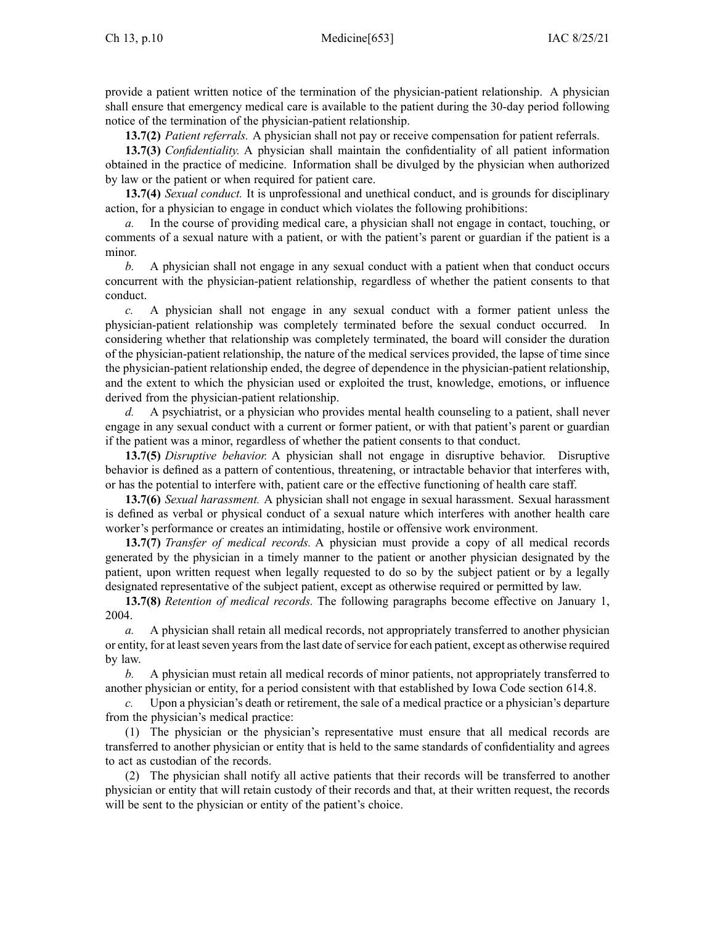provide <sup>a</sup> patient written notice of the termination of the physician-patient relationship. A physician shall ensure that emergency medical care is available to the patient during the 30-day period following notice of the termination of the physician-patient relationship.

**13.7(2)** *Patient referrals.* A physician shall not pay or receive compensation for patient referrals.

**13.7(3)** *Confidentiality.* A physician shall maintain the confidentiality of all patient information obtained in the practice of medicine. Information shall be divulged by the physician when authorized by law or the patient or when required for patient care.

**13.7(4)** *Sexual conduct.* It is unprofessional and unethical conduct, and is grounds for disciplinary action, for <sup>a</sup> physician to engage in conduct which violates the following prohibitions:

*a.* In the course of providing medical care, <sup>a</sup> physician shall not engage in contact, touching, or comments of <sup>a</sup> sexual nature with <sup>a</sup> patient, or with the patient's paren<sup>t</sup> or guardian if the patient is <sup>a</sup> minor.

*b.* A physician shall not engage in any sexual conduct with <sup>a</sup> patient when that conduct occurs concurrent with the physician-patient relationship, regardless of whether the patient consents to that conduct.

*c.* A physician shall not engage in any sexual conduct with <sup>a</sup> former patient unless the physician-patient relationship was completely terminated before the sexual conduct occurred. In considering whether that relationship was completely terminated, the board will consider the duration of the physician-patient relationship, the nature of the medical services provided, the lapse of time since the physician-patient relationship ended, the degree of dependence in the physician-patient relationship, and the extent to which the physician used or exploited the trust, knowledge, emotions, or influence derived from the physician-patient relationship.

*d.* A psychiatrist, or <sup>a</sup> physician who provides mental health counseling to <sup>a</sup> patient, shall never engage in any sexual conduct with <sup>a</sup> current or former patient, or with that patient's paren<sup>t</sup> or guardian if the patient was <sup>a</sup> minor, regardless of whether the patient consents to that conduct.

**13.7(5)** *Disruptive behavior.* A physician shall not engage in disruptive behavior. Disruptive behavior is defined as <sup>a</sup> pattern of contentious, threatening, or intractable behavior that interferes with, or has the potential to interfere with, patient care or the effective functioning of health care staff.

**13.7(6)** *Sexual harassment.* A physician shall not engage in sexual harassment. Sexual harassment is defined as verbal or physical conduct of <sup>a</sup> sexual nature which interferes with another health care worker's performance or creates an intimidating, hostile or offensive work environment.

**13.7(7)** *Transfer of medical records.* A physician must provide <sup>a</sup> copy of all medical records generated by the physician in <sup>a</sup> timely manner to the patient or another physician designated by the patient, upon written reques<sup>t</sup> when legally requested to do so by the subject patient or by <sup>a</sup> legally designated representative of the subject patient, excep<sup>t</sup> as otherwise required or permitted by law.

**13.7(8)** *Retention of medical records.* The following paragraphs become effective on January 1, 2004.

*a.* A physician shall retain all medical records, not appropriately transferred to another physician or entity, for at least seven years from the last date of service for each patient, except as otherwise required by law.

*b.* A physician must retain all medical records of minor patients, not appropriately transferred to another physician or entity, for <sup>a</sup> period consistent with that established by Iowa Code section [614.8](https://www.legis.iowa.gov/docs/ico/section/614.8.pdf).

*c.* Upon <sup>a</sup> physician's death or retirement, the sale of <sup>a</sup> medical practice or <sup>a</sup> physician's departure from the physician's medical practice:

(1) The physician or the physician's representative must ensure that all medical records are transferred to another physician or entity that is held to the same standards of confidentiality and agrees to act as custodian of the records.

(2) The physician shall notify all active patients that their records will be transferred to another physician or entity that will retain custody of their records and that, at their written request, the records will be sent to the physician or entity of the patient's choice.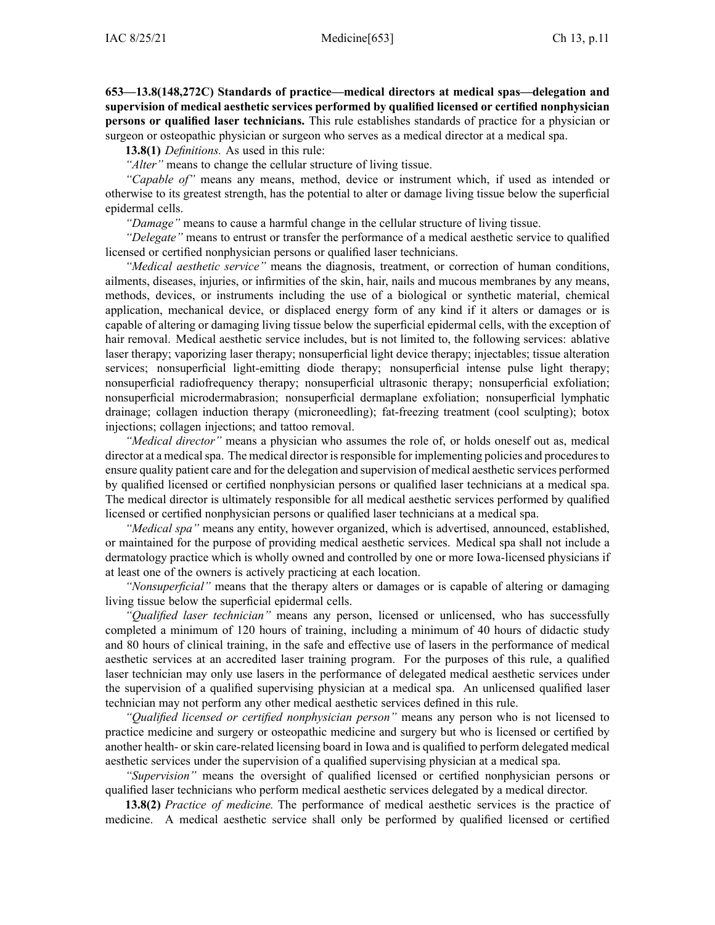**653—13.8(148,272C) Standards of practice—medical directors at medical spas—delegation and supervision of medical aesthetic services performed by qualified licensed or certified nonphysician persons or qualified laser technicians.** This rule establishes standards of practice for <sup>a</sup> physician or surgeon or osteopathic physician or surgeon who serves as <sup>a</sup> medical director at <sup>a</sup> medical spa.

**13.8(1)** *Definitions.* As used in this rule:

*"Alter"* means to change the cellular structure of living tissue.

*"Capable of"* means any means, method, device or instrument which, if used as intended or otherwise to its greatest strength, has the potential to alter or damage living tissue below the superficial epidermal cells.

*"Damage"* means to cause <sup>a</sup> harmful change in the cellular structure of living tissue.

*"Delegate"* means to entrust or transfer the performance of <sup>a</sup> medical aesthetic service to qualified licensed or certified nonphysician persons or qualified laser technicians.

*"Medical aesthetic service"* means the diagnosis, treatment, or correction of human conditions, ailments, diseases, injuries, or infirmities of the skin, hair, nails and mucous membranes by any means, methods, devices, or instruments including the use of <sup>a</sup> biological or synthetic material, chemical application, mechanical device, or displaced energy form of any kind if it alters or damages or is capable of altering or damaging living tissue below the superficial epidermal cells, with the exception of hair removal. Medical aesthetic service includes, but is not limited to, the following services: ablative laser therapy; vaporizing laser therapy; nonsuperficial light device therapy; injectables; tissue alteration services; nonsuperficial light-emitting diode therapy; nonsuperficial intense pulse light therapy; nonsuperficial radiofrequency therapy; nonsuperficial ultrasonic therapy; nonsuperficial exfoliation; nonsuperficial microdermabrasion; nonsuperficial dermaplane exfoliation; nonsuperficial lymphatic drainage; collagen induction therapy (microneedling); fat-freezing treatment (cool sculpting); botox injections; collagen injections; and tattoo removal.

*"Medical director"* means <sup>a</sup> physician who assumes the role of, or holds oneself out as, medical director at a medical spa. The medical director is responsible for implementing policies and procedures to ensure quality patient care and for the delegation and supervision of medical aesthetic services performed by qualified licensed or certified nonphysician persons or qualified laser technicians at <sup>a</sup> medical spa. The medical director is ultimately responsible for all medical aesthetic services performed by qualified licensed or certified nonphysician persons or qualified laser technicians at <sup>a</sup> medical spa.

*"Medical spa"* means any entity, however organized, which is advertised, announced, established, or maintained for the purpose of providing medical aesthetic services. Medical spa shall not include <sup>a</sup> dermatology practice which is wholly owned and controlled by one or more Iowa-licensed physicians if at least one of the owners is actively practicing at each location.

*"Nonsuperficial"* means that the therapy alters or damages or is capable of altering or damaging living tissue below the superficial epidermal cells.

*"Qualified laser technician"* means any person, licensed or unlicensed, who has successfully completed <sup>a</sup> minimum of 120 hours of training, including <sup>a</sup> minimum of 40 hours of didactic study and 80 hours of clinical training, in the safe and effective use of lasers in the performance of medical aesthetic services at an accredited laser training program. For the purposes of this rule, <sup>a</sup> qualified laser technician may only use lasers in the performance of delegated medical aesthetic services under the supervision of <sup>a</sup> qualified supervising physician at <sup>a</sup> medical spa. An unlicensed qualified laser technician may not perform any other medical aesthetic services defined in this rule.

*"Qualified licensed or certified nonphysician person"* means any person who is not licensed to practice medicine and surgery or osteopathic medicine and surgery but who is licensed or certified by another health- or skin care-related licensing board in Iowa and is qualified to perform delegated medical aesthetic services under the supervision of <sup>a</sup> qualified supervising physician at <sup>a</sup> medical spa.

*"Supervision"* means the oversight of qualified licensed or certified nonphysician persons or qualified laser technicians who perform medical aesthetic services delegated by <sup>a</sup> medical director.

**13.8(2)** *Practice of medicine.* The performance of medical aesthetic services is the practice of medicine. A medical aesthetic service shall only be performed by qualified licensed or certified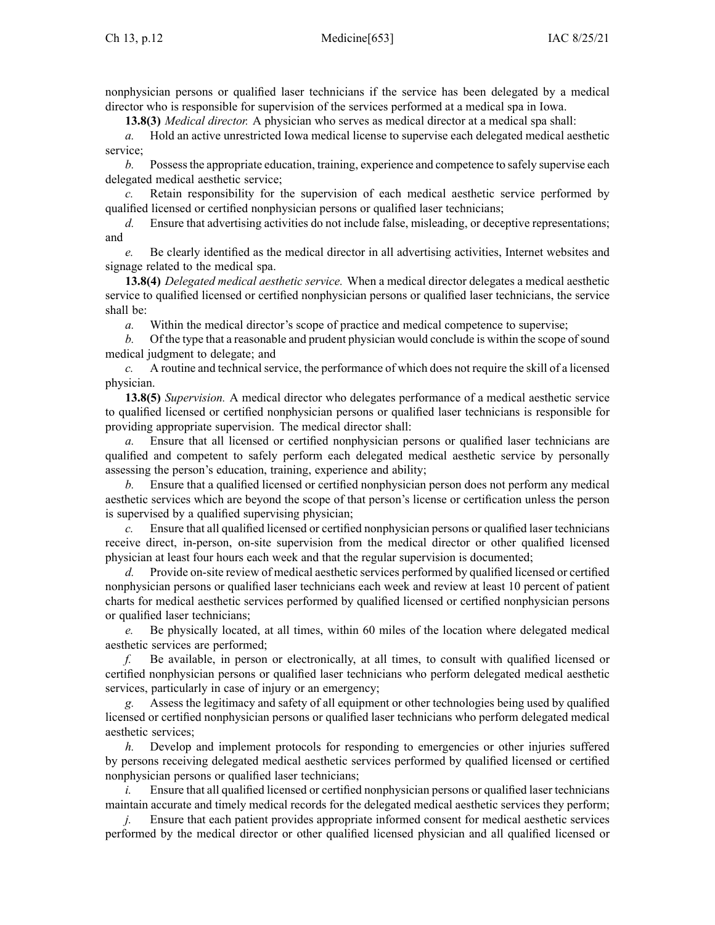nonphysician persons or qualified laser technicians if the service has been delegated by <sup>a</sup> medical director who is responsible for supervision of the services performed at <sup>a</sup> medical spa in Iowa.

**13.8(3)** *Medical director.* A physician who serves as medical director at <sup>a</sup> medical spa shall:

*a.* Hold an active unrestricted Iowa medical license to supervise each delegated medical aesthetic service;

*b.* Possess the appropriate education, training, experience and competence to safely supervise each delegated medical aesthetic service;

*c.* Retain responsibility for the supervision of each medical aesthetic service performed by qualified licensed or certified nonphysician persons or qualified laser technicians;

*d.* Ensure that advertising activities do not include false, misleading, or deceptive representations; and

*e.* Be clearly identified as the medical director in all advertising activities, Internet websites and signage related to the medical spa.

**13.8(4)** *Delegated medical aesthetic service.* When <sup>a</sup> medical director delegates <sup>a</sup> medical aesthetic service to qualified licensed or certified nonphysician persons or qualified laser technicians, the service shall be:

*a.* Within the medical director's scope of practice and medical competence to supervise;

*b.* Of the type that <sup>a</sup> reasonable and prudent physician would conclude is within the scope ofsound medical judgment to delegate; and

*c.* A routine and technical service, the performance of which does not require the skill of a licensed physician.

**13.8(5)** *Supervision.* A medical director who delegates performance of <sup>a</sup> medical aesthetic service to qualified licensed or certified nonphysician persons or qualified laser technicians is responsible for providing appropriate supervision. The medical director shall:

*a.* Ensure that all licensed or certified nonphysician persons or qualified laser technicians are qualified and competent to safely perform each delegated medical aesthetic service by personally assessing the person's education, training, experience and ability;

*b.* Ensure that <sup>a</sup> qualified licensed or certified nonphysician person does not perform any medical aesthetic services which are beyond the scope of that person's license or certification unless the person is supervised by <sup>a</sup> qualified supervising physician;

*c.* Ensure that all qualified licensed or certified nonphysician persons or qualified laser technicians receive direct, in-person, on-site supervision from the medical director or other qualified licensed physician at least four hours each week and that the regular supervision is documented;

*d.* Provide on-site review of medical aesthetic services performed by qualified licensed or certified nonphysician persons or qualified laser technicians each week and review at least 10 percen<sup>t</sup> of patient charts for medical aesthetic services performed by qualified licensed or certified nonphysician persons or qualified laser technicians;

*e.* Be physically located, at all times, within 60 miles of the location where delegated medical aesthetic services are performed;

*f.* Be available, in person or electronically, at all times, to consult with qualified licensed or certified nonphysician persons or qualified laser technicians who perform delegated medical aesthetic services, particularly in case of injury or an emergency;

*g.* Assess the legitimacy and safety of all equipment or other technologies being used by qualified licensed or certified nonphysician persons or qualified laser technicians who perform delegated medical aesthetic services;

*h.* Develop and implement protocols for responding to emergencies or other injuries suffered by persons receiving delegated medical aesthetic services performed by qualified licensed or certified nonphysician persons or qualified laser technicians;

*i.* Ensure that all qualified licensed or certified nonphysician persons or qualified laser technicians maintain accurate and timely medical records for the delegated medical aesthetic services they perform;

Ensure that each patient provides appropriate informed consent for medical aesthetic services performed by the medical director or other qualified licensed physician and all qualified licensed or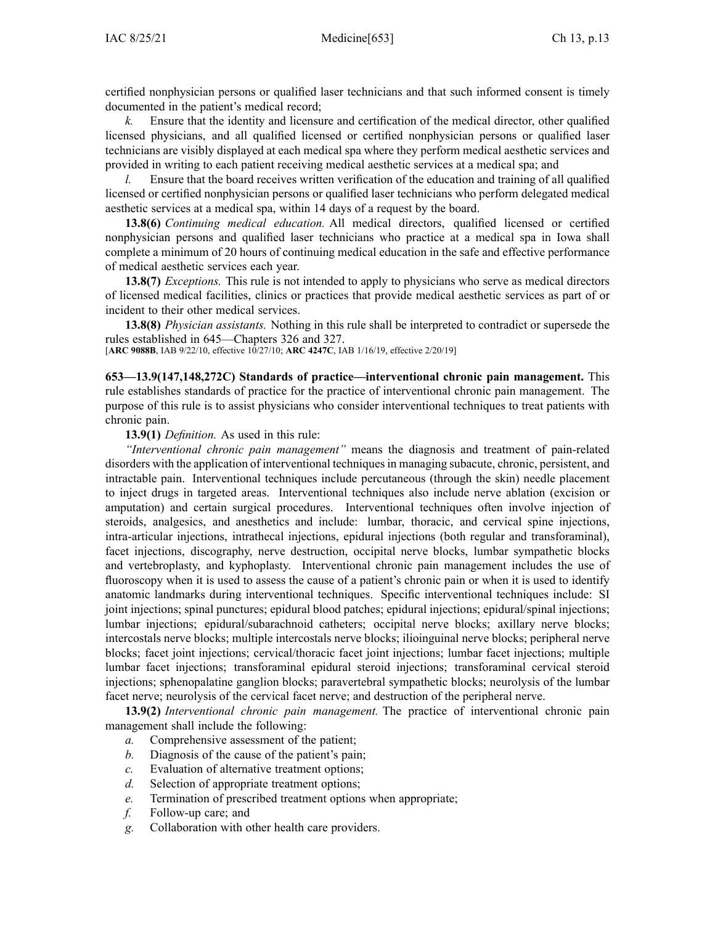certified nonphysician persons or qualified laser technicians and that such informed consent is timely documented in the patient's medical record;

*k.* Ensure that the identity and licensure and certification of the medical director, other qualified licensed physicians, and all qualified licensed or certified nonphysician persons or qualified laser technicians are visibly displayed at each medical spa where they perform medical aesthetic services and provided in writing to each patient receiving medical aesthetic services at <sup>a</sup> medical spa; and

*l.* Ensure that the board receives written verification of the education and training of all qualified licensed or certified nonphysician persons or qualified laser technicians who perform delegated medical aesthetic services at <sup>a</sup> medical spa, within 14 days of <sup>a</sup> reques<sup>t</sup> by the board.

**13.8(6)** *Continuing medical education.* All medical directors, qualified licensed or certified nonphysician persons and qualified laser technicians who practice at <sup>a</sup> medical spa in Iowa shall complete <sup>a</sup> minimum of 20 hours of continuing medical education in the safe and effective performance of medical aesthetic services each year.

**13.8(7)** *Exceptions.* This rule is not intended to apply to physicians who serve as medical directors of licensed medical facilities, clinics or practices that provide medical aesthetic services as par<sup>t</sup> of or incident to their other medical services.

**13.8(8)** *Physician assistants.* Nothing in this rule shall be interpreted to contradict or supersede the rules established in [645—Chapters](https://www.legis.iowa.gov/docs/iac/chapter/645.326.pdf) 326 and [327](https://www.legis.iowa.gov/docs/iac/chapter/645.327.pdf).

[**ARC [9088B](https://www.legis.iowa.gov/docs/aco/arc/9088B.pdf)**, IAB 9/22/10, effective 10/27/10; **ARC [4247C](https://www.legis.iowa.gov/docs/aco/arc/4247C.pdf)**, IAB 1/16/19, effective 2/20/19]

**653—13.9(147,148,272C) Standards of practice—interventional chronic pain management.** This rule establishes standards of practice for the practice of interventional chronic pain management. The purpose of this rule is to assist physicians who consider interventional techniques to treat patients with chronic pain.

**13.9(1)** *Definition.* As used in this rule:

*"Interventional chronic pain management"* means the diagnosis and treatment of pain-related disorders with the application of interventional techniquesin managing subacute, chronic, persistent, and intractable pain. Interventional techniques include percutaneous (through the skin) needle placement to inject drugs in targeted areas. Interventional techniques also include nerve ablation (excision or amputation) and certain surgical procedures. Interventional techniques often involve injection of steroids, analgesics, and anesthetics and include: lumbar, thoracic, and cervical spine injections, intra-articular injections, intrathecal injections, epidural injections (both regular and transforaminal), facet injections, discography, nerve destruction, occipital nerve blocks, lumbar sympathetic blocks and vertebroplasty, and kyphoplasty. Interventional chronic pain managemen<sup>t</sup> includes the use of fluoroscopy when it is used to assess the cause of <sup>a</sup> patient's chronic pain or when it is used to identify anatomic landmarks during interventional techniques. Specific interventional techniques include: SI joint injections; spinal punctures; epidural blood patches; epidural injections; epidural/spinal injections; lumbar injections; epidural/subarachnoid catheters; occipital nerve blocks; axillary nerve blocks; intercostals nerve blocks; multiple intercostals nerve blocks; ilioinguinal nerve blocks; peripheral nerve blocks; facet joint injections; cervical/thoracic facet joint injections; lumbar facet injections; multiple lumbar facet injections; transforaminal epidural steroid injections; transforaminal cervical steroid injections; sphenopalatine ganglion blocks; paravertebral sympathetic blocks; neurolysis of the lumbar facet nerve; neurolysis of the cervical facet nerve; and destruction of the peripheral nerve.

**13.9(2)** *Interventional chronic pain management.* The practice of interventional chronic pain managemen<sup>t</sup> shall include the following:

- *a.* Comprehensive assessment of the patient;
- *b.* Diagnosis of the cause of the patient's pain;
- *c.* Evaluation of alternative treatment options;
- *d.* Selection of appropriate treatment options;
- *e.* Termination of prescribed treatment options when appropriate;
- *f.* Follow-up care; and
- *g.* Collaboration with other health care providers.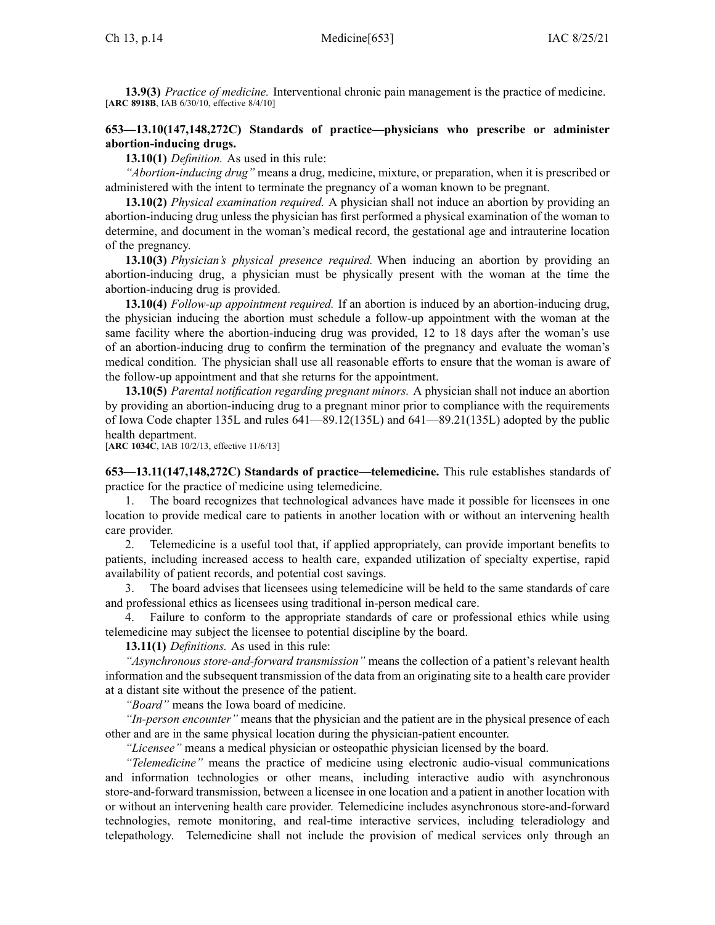**13.9(3)** *Practice of medicine.* Interventional chronic pain managemen<sup>t</sup> is the practice of medicine. [**ARC [8918B](https://www.legis.iowa.gov/docs/aco/arc/8918B.pdf)**, IAB 6/30/10, effective 8/4/10]

# **653—13.10(147,148,272C) Standards of practice—physicians who prescribe or administer abortion-inducing drugs.**

**13.10(1)** *Definition.* As used in this rule:

*"Abortion-inducing drug"* means <sup>a</sup> drug, medicine, mixture, or preparation, when it is prescribed or administered with the intent to terminate the pregnancy of <sup>a</sup> woman known to be pregnant.

**13.10(2)** *Physical examination required.* A physician shall not induce an abortion by providing an abortion-inducing drug unless the physician has first performed <sup>a</sup> physical examination of the woman to determine, and document in the woman's medical record, the gestational age and intrauterine location of the pregnancy.

**13.10(3)** *Physician's physical presence required.* When inducing an abortion by providing an abortion-inducing drug, <sup>a</sup> physician must be physically presen<sup>t</sup> with the woman at the time the abortion-inducing drug is provided.

**13.10(4)** *Follow-up appointment required.* If an abortion is induced by an abortion-inducing drug, the physician inducing the abortion must schedule <sup>a</sup> follow-up appointment with the woman at the same facility where the abortion-inducing drug was provided, 12 to 18 days after the woman's use of an abortion-inducing drug to confirm the termination of the pregnancy and evaluate the woman's medical condition. The physician shall use all reasonable efforts to ensure that the woman is aware of the follow-up appointment and that she returns for the appointment.

**13.10(5)** *Parental notification regarding pregnan<sup>t</sup> minors.* A physician shall not induce an abortion by providing an abortion-inducing drug to <sup>a</sup> pregnan<sup>t</sup> minor prior to compliance with the requirements of Iowa Code chapter [135L](https://www.legis.iowa.gov/docs/ico/chapter/135L.pdf) and rules [641—89.12](https://www.legis.iowa.gov/docs/iac/rule/641.89.12.pdf)(135L) and [641—89.21](https://www.legis.iowa.gov/docs/iac/rule/641.89.21.pdf)(135L) adopted by the public health department.

[**ARC [1034C](https://www.legis.iowa.gov/docs/aco/arc/1034C.pdf)**, IAB 10/2/13, effective 11/6/13]

**653—13.11(147,148,272C) Standards of practice—telemedicine.** This rule establishes standards of practice for the practice of medicine using telemedicine.

1. The board recognizes that technological advances have made it possible for licensees in one location to provide medical care to patients in another location with or without an intervening health care provider.

2. Telemedicine is <sup>a</sup> useful tool that, if applied appropriately, can provide important benefits to patients, including increased access to health care, expanded utilization of specialty expertise, rapid availability of patient records, and potential cost savings.

3. The board advises that licensees using telemedicine will be held to the same standards of care and professional ethics as licensees using traditional in-person medical care.

4. Failure to conform to the appropriate standards of care or professional ethics while using telemedicine may subject the licensee to potential discipline by the board.

**13.11(1)** *Definitions.* As used in this rule:

*"Asynchronous store-and-forward transmission"* means the collection of <sup>a</sup> patient's relevant health information and the subsequent transmission of the data from an originating site to <sup>a</sup> health care provider at <sup>a</sup> distant site without the presence of the patient.

*"Board"* means the Iowa board of medicine.

*"In-person encounter"* means that the physician and the patient are in the physical presence of each other and are in the same physical location during the physician-patient encounter.

*"Licensee"* means <sup>a</sup> medical physician or osteopathic physician licensed by the board.

*"Telemedicine"* means the practice of medicine using electronic audio-visual communications and information technologies or other means, including interactive audio with asynchronous store-and-forward transmission, between <sup>a</sup> licensee in one location and <sup>a</sup> patient in another location with or without an intervening health care provider. Telemedicine includes asynchronous store-and-forward technologies, remote monitoring, and real-time interactive services, including teleradiology and telepathology. Telemedicine shall not include the provision of medical services only through an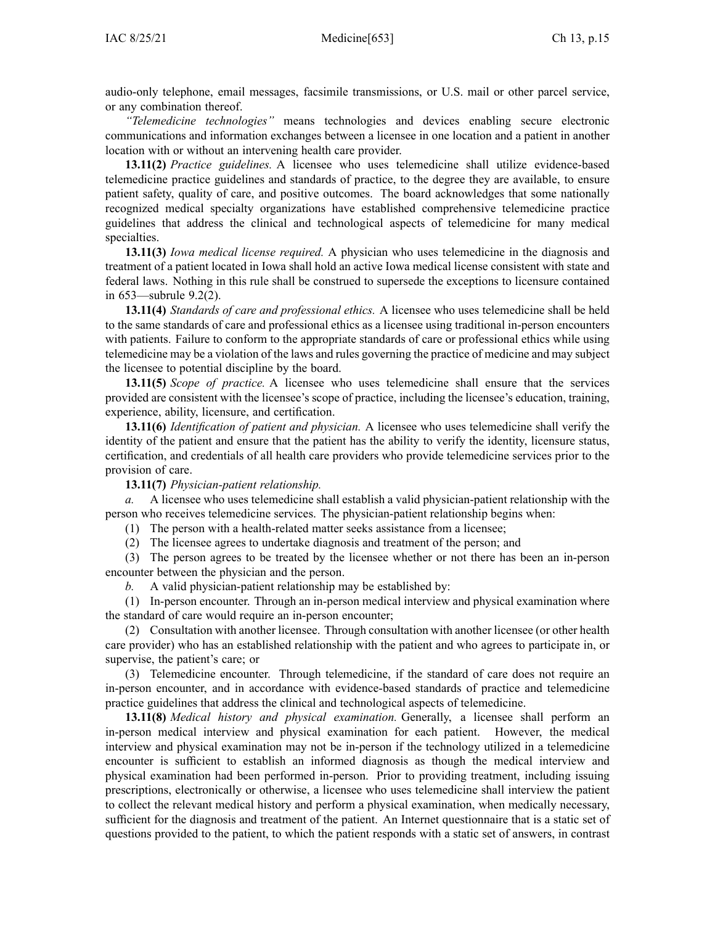audio-only telephone, email messages, facsimile transmissions, or U.S. mail or other parcel service, or any combination thereof.

*"Telemedicine technologies"* means technologies and devices enabling secure electronic communications and information exchanges between <sup>a</sup> licensee in one location and <sup>a</sup> patient in another location with or without an intervening health care provider.

**13.11(2)** *Practice guidelines.* A licensee who uses telemedicine shall utilize evidence-based telemedicine practice guidelines and standards of practice, to the degree they are available, to ensure patient safety, quality of care, and positive outcomes. The board acknowledges that some nationally recognized medical specialty organizations have established comprehensive telemedicine practice guidelines that address the clinical and technological aspects of telemedicine for many medical specialties.

**13.11(3)** *Iowa medical license required.* A physician who uses telemedicine in the diagnosis and treatment of <sup>a</sup> patient located in Iowa shall hold an active Iowa medical license consistent with state and federal laws. Nothing in this rule shall be construed to supersede the exceptions to licensure contained in [653—subrule](https://www.legis.iowa.gov/docs/iac/rule/653.9.2.pdf) 9.2(2).

**13.11(4)** *Standards of care and professional ethics.* A licensee who uses telemedicine shall be held to the same standards of care and professional ethics as <sup>a</sup> licensee using traditional in-person encounters with patients. Failure to conform to the appropriate standards of care or professional ethics while using telemedicine may be <sup>a</sup> violation of the laws and rules governing the practice of medicine and may subject the licensee to potential discipline by the board.

**13.11(5)** *Scope of practice.* A licensee who uses telemedicine shall ensure that the services provided are consistent with the licensee's scope of practice, including the licensee's education, training, experience, ability, licensure, and certification.

**13.11(6)** *Identification of patient and physician.* A licensee who uses telemedicine shall verify the identity of the patient and ensure that the patient has the ability to verify the identity, licensure status, certification, and credentials of all health care providers who provide telemedicine services prior to the provision of care.

#### **13.11(7)** *Physician-patient relationship.*

*a.* A licensee who uses telemedicine shall establish <sup>a</sup> valid physician-patient relationship with the person who receives telemedicine services. The physician-patient relationship begins when:

(1) The person with <sup>a</sup> health-related matter seeks assistance from <sup>a</sup> licensee;

(2) The licensee agrees to undertake diagnosis and treatment of the person; and

(3) The person agrees to be treated by the licensee whether or not there has been an in-person encounter between the physician and the person.

*b.* A valid physician-patient relationship may be established by:

(1) In-person encounter. Through an in-person medical interview and physical examination where the standard of care would require an in-person encounter;

(2) Consultation with another licensee. Through consultation with another licensee (or other health care provider) who has an established relationship with the patient and who agrees to participate in, or supervise, the patient's care; or

(3) Telemedicine encounter. Through telemedicine, if the standard of care does not require an in-person encounter, and in accordance with evidence-based standards of practice and telemedicine practice guidelines that address the clinical and technological aspects of telemedicine.

**13.11(8)** *Medical history and physical examination.* Generally, <sup>a</sup> licensee shall perform an in-person medical interview and physical examination for each patient. However, the medical interview and physical examination may not be in-person if the technology utilized in <sup>a</sup> telemedicine encounter is sufficient to establish an informed diagnosis as though the medical interview and physical examination had been performed in-person. Prior to providing treatment, including issuing prescriptions, electronically or otherwise, <sup>a</sup> licensee who uses telemedicine shall interview the patient to collect the relevant medical history and perform <sup>a</sup> physical examination, when medically necessary, sufficient for the diagnosis and treatment of the patient. An Internet questionnaire that is <sup>a</sup> static set of questions provided to the patient, to which the patient responds with <sup>a</sup> static set of answers, in contrast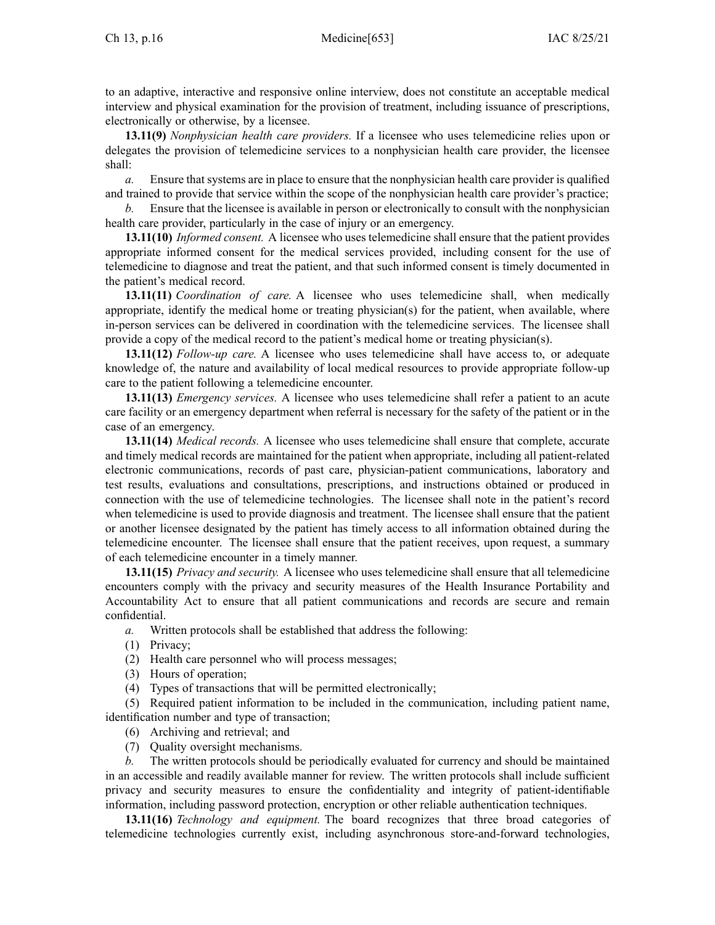to an adaptive, interactive and responsive online interview, does not constitute an acceptable medical interview and physical examination for the provision of treatment, including issuance of prescriptions, electronically or otherwise, by <sup>a</sup> licensee.

**13.11(9)** *Nonphysician health care providers.* If <sup>a</sup> licensee who uses telemedicine relies upon or delegates the provision of telemedicine services to <sup>a</sup> nonphysician health care provider, the licensee shall:

*a.* Ensure that systems are in place to ensure that the nonphysician health care provider is qualified and trained to provide that service within the scope of the nonphysician health care provider's practice;

*b.* Ensure that the licensee is available in person or electronically to consult with the nonphysician health care provider, particularly in the case of injury or an emergency.

**13.11(10)** *Informed consent.* A licensee who uses telemedicine shall ensure that the patient provides appropriate informed consent for the medical services provided, including consent for the use of telemedicine to diagnose and treat the patient, and that such informed consent is timely documented in the patient's medical record.

**13.11(11)** *Coordination of care.* A licensee who uses telemedicine shall, when medically appropriate, identify the medical home or treating physician(s) for the patient, when available, where in-person services can be delivered in coordination with the telemedicine services. The licensee shall provide <sup>a</sup> copy of the medical record to the patient's medical home or treating physician(s).

**13.11(12)** *Follow-up care.* A licensee who uses telemedicine shall have access to, or adequate knowledge of, the nature and availability of local medical resources to provide appropriate follow-up care to the patient following <sup>a</sup> telemedicine encounter.

**13.11(13)** *Emergency services.* A licensee who uses telemedicine shall refer <sup>a</sup> patient to an acute care facility or an emergency department when referral is necessary for the safety of the patient or in the case of an emergency.

**13.11(14)** *Medical records.* A licensee who uses telemedicine shall ensure that complete, accurate and timely medical records are maintained for the patient when appropriate, including all patient-related electronic communications, records of pas<sup>t</sup> care, physician-patient communications, laboratory and test results, evaluations and consultations, prescriptions, and instructions obtained or produced in connection with the use of telemedicine technologies. The licensee shall note in the patient's record when telemedicine is used to provide diagnosis and treatment. The licensee shall ensure that the patient or another licensee designated by the patient has timely access to all information obtained during the telemedicine encounter. The licensee shall ensure that the patient receives, upon request, <sup>a</sup> summary of each telemedicine encounter in <sup>a</sup> timely manner.

**13.11(15)** *Privacy and security.* A licensee who uses telemedicine shall ensure that all telemedicine encounters comply with the privacy and security measures of the Health Insurance Portability and Accountability Act to ensure that all patient communications and records are secure and remain confidential.

*a.* Written protocols shall be established that address the following:

- (1) Privacy;
- (2) Health care personnel who will process messages;
- (3) Hours of operation;
- (4) Types of transactions that will be permitted electronically;

(5) Required patient information to be included in the communication, including patient name, identification number and type of transaction;

- (6) Archiving and retrieval; and
- (7) Quality oversight mechanisms.

*b.* The written protocols should be periodically evaluated for currency and should be maintained in an accessible and readily available manner for review. The written protocols shall include sufficient privacy and security measures to ensure the confidentiality and integrity of patient-identifiable information, including password protection, encryption or other reliable authentication techniques.

**13.11(16)** *Technology and equipment.* The board recognizes that three broad categories of telemedicine technologies currently exist, including asynchronous store-and-forward technologies,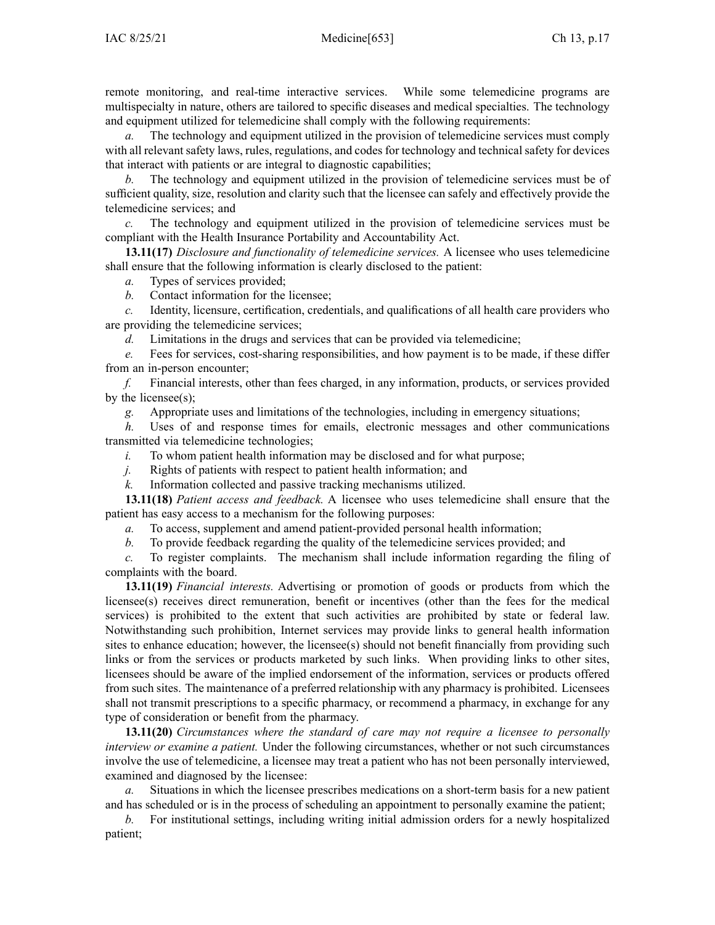remote monitoring, and real-time interactive services. While some telemedicine programs are multispecialty in nature, others are tailored to specific diseases and medical specialties. The technology and equipment utilized for telemedicine shall comply with the following requirements:

*a.* The technology and equipment utilized in the provision of telemedicine services must comply with all relevant safety laws, rules, regulations, and codes for technology and technical safety for devices that interact with patients or are integral to diagnostic capabilities;

*b.* The technology and equipment utilized in the provision of telemedicine services must be of sufficient quality, size, resolution and clarity such that the licensee can safely and effectively provide the telemedicine services; and

*c.* The technology and equipment utilized in the provision of telemedicine services must be compliant with the Health Insurance Portability and Accountability Act.

**13.11(17)** *Disclosure and functionality of telemedicine services.* A licensee who uses telemedicine shall ensure that the following information is clearly disclosed to the patient:

*a.* Types of services provided;

*b.* Contact information for the licensee;

*c.* Identity, licensure, certification, credentials, and qualifications of all health care providers who are providing the telemedicine services;

*d.* Limitations in the drugs and services that can be provided via telemedicine;

*e.* Fees for services, cost-sharing responsibilities, and how paymen<sup>t</sup> is to be made, if these differ from an in-person encounter;

*f.* Financial interests, other than fees charged, in any information, products, or services provided by the licensee(s);

*g.* Appropriate uses and limitations of the technologies, including in emergency situations;

*h.* Uses of and response times for emails, electronic messages and other communications transmitted via telemedicine technologies;

*i.* To whom patient health information may be disclosed and for what purpose;

*j.* Rights of patients with respec<sup>t</sup> to patient health information; and

*k.* Information collected and passive tracking mechanisms utilized.

**13.11(18)** *Patient access and feedback.* A licensee who uses telemedicine shall ensure that the patient has easy access to <sup>a</sup> mechanism for the following purposes:

*a.* To access, supplement and amend patient-provided personal health information;

*b.* To provide feedback regarding the quality of the telemedicine services provided; and

*c.* To register complaints. The mechanism shall include information regarding the filing of complaints with the board.

**13.11(19)** *Financial interests.* Advertising or promotion of goods or products from which the licensee(s) receives direct remuneration, benefit or incentives (other than the fees for the medical services) is prohibited to the extent that such activities are prohibited by state or federal law. Notwithstanding such prohibition, Internet services may provide links to general health information sites to enhance education; however, the licensee(s) should not benefit financially from providing such links or from the services or products marketed by such links. When providing links to other sites, licensees should be aware of the implied endorsement of the information, services or products offered from such sites. The maintenance of <sup>a</sup> preferred relationship with any pharmacy is prohibited. Licensees shall not transmit prescriptions to <sup>a</sup> specific pharmacy, or recommend <sup>a</sup> pharmacy, in exchange for any type of consideration or benefit from the pharmacy.

**13.11(20)** *Circumstances where the standard of care may not require <sup>a</sup> licensee to personally interview or examine <sup>a</sup> patient.* Under the following circumstances, whether or not such circumstances involve the use of telemedicine, <sup>a</sup> licensee may treat <sup>a</sup> patient who has not been personally interviewed, examined and diagnosed by the licensee:

*a.* Situations in which the licensee prescribes medications on <sup>a</sup> short-term basis for <sup>a</sup> new patient and has scheduled or is in the process of scheduling an appointment to personally examine the patient;

*b.* For institutional settings, including writing initial admission orders for <sup>a</sup> newly hospitalized patient;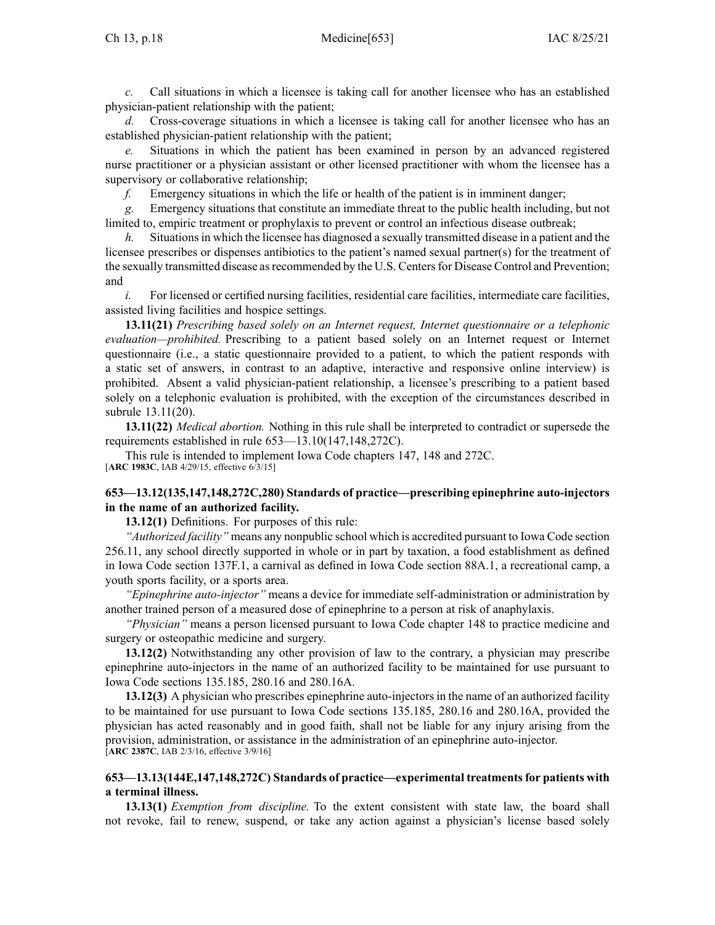*c.* Call situations in which <sup>a</sup> licensee is taking call for another licensee who has an established physician-patient relationship with the patient;

*d.* Cross-coverage situations in which <sup>a</sup> licensee is taking call for another licensee who has an established physician-patient relationship with the patient;

*e.* Situations in which the patient has been examined in person by an advanced registered nurse practitioner or <sup>a</sup> physician assistant or other licensed practitioner with whom the licensee has <sup>a</sup> supervisory or collaborative relationship;

*f.* Emergency situations in which the life or health of the patient is in imminent danger;

*g.* Emergency situations that constitute an immediate threat to the public health including, but not limited to, empiric treatment or prophylaxis to preven<sup>t</sup> or control an infectious disease outbreak;

*h.* Situations in which the licensee has diagnosed a sexually transmitted disease in a patient and the licensee prescribes or dispenses antibiotics to the patient's named sexual partner(s) for the treatment of the sexually transmitted disease asrecommended by the U.S. Centersfor Disease Control and Prevention; and

*i.* For licensed or certified nursing facilities, residential care facilities, intermediate care facilities, assisted living facilities and hospice settings.

**13.11(21)** *Prescribing based solely on an Internet request, Internet questionnaire or <sup>a</sup> telephonic evaluation—prohibited.* Prescribing to <sup>a</sup> patient based solely on an Internet reques<sup>t</sup> or Internet questionnaire (i.e., <sup>a</sup> static questionnaire provided to <sup>a</sup> patient, to which the patient responds with <sup>a</sup> static set of answers, in contrast to an adaptive, interactive and responsive online interview) is prohibited. Absent <sup>a</sup> valid physician-patient relationship, <sup>a</sup> licensee's prescribing to <sup>a</sup> patient based solely on <sup>a</sup> telephonic evaluation is prohibited, with the exception of the circumstances described in subrule [13.11\(20\)](https://www.legis.iowa.gov/docs/iac/rule/653.13.11.pdf).

**13.11(22)** *Medical abortion.* Nothing in this rule shall be interpreted to contradict or supersede the requirements established in rule [653—13.10](https://www.legis.iowa.gov/docs/iac/rule/653.13.10.pdf)(147,148,272C).

This rule is intended to implement Iowa Code chapters [147](https://www.legis.iowa.gov/docs/ico/chapter/147.pdf), [148](https://www.legis.iowa.gov/docs/ico/chapter/148.pdf) and [272C](https://www.legis.iowa.gov/docs/ico/chapter/272C.pdf). [**ARC [1983C](https://www.legis.iowa.gov/docs/aco/arc/1983C.pdf)**, IAB 4/29/15, effective 6/3/15]

# **653—13.12(135,147,148,272C,280) Standards of practice—prescribing epinephrine auto-injectors in the name of an authorized facility.**

**13.12(1)** Definitions. For purposes of this rule:

*"Authorized facility"* means any nonpublic school which is accredited pursuan<sup>t</sup> to Iowa Code section [256.11](https://www.legis.iowa.gov/docs/ico/section/256.11.pdf), any school directly supported in whole or in par<sup>t</sup> by taxation, <sup>a</sup> food establishment as defined in Iowa Code section [137F.1](https://www.legis.iowa.gov/docs/ico/section/137F.1.pdf), <sup>a</sup> carnival as defined in Iowa Code section [88A.1](https://www.legis.iowa.gov/docs/ico/section/88A.1.pdf), <sup>a</sup> recreational camp, <sup>a</sup> youth sports facility, or <sup>a</sup> sports area.

*"Epinephrine auto-injector"* means <sup>a</sup> device for immediate self-administration or administration by another trained person of <sup>a</sup> measured dose of epinephrine to <sup>a</sup> person at risk of anaphylaxis.

*"Physician"* means <sup>a</sup> person licensed pursuan<sup>t</sup> to Iowa Code chapter [148](https://www.legis.iowa.gov/docs/ico/chapter/148.pdf) to practice medicine and surgery or osteopathic medicine and surgery.

**13.12(2)** Notwithstanding any other provision of law to the contrary, <sup>a</sup> physician may prescribe epinephrine auto-injectors in the name of an authorized facility to be maintained for use pursuan<sup>t</sup> to Iowa Code sections [135.185](https://www.legis.iowa.gov/docs/ico/section/135.185.pdf), [280.16](https://www.legis.iowa.gov/docs/ico/section/280.16.pdf) and [280.16A](https://www.legis.iowa.gov/docs/ico/section/280.16A.pdf).

**13.12(3)** A physician who prescribes epinephrine auto-injectors in the name of an authorized facility to be maintained for use pursuan<sup>t</sup> to Iowa Code sections [135.185](https://www.legis.iowa.gov/docs/ico/section/135.185.pdf), [280.16](https://www.legis.iowa.gov/docs/ico/section/280.16.pdf) and [280.16A](https://www.legis.iowa.gov/docs/ico/section/280.16A.pdf), provided the physician has acted reasonably and in good faith, shall not be liable for any injury arising from the provision, administration, or assistance in the administration of an epinephrine auto-injector. [**ARC [2387C](https://www.legis.iowa.gov/docs/aco/arc/2387C.pdf)**, IAB 2/3/16, effective 3/9/16]

# **653—13.13(144E,147,148,272C) Standards of practice—experimental treatmentsfor patients with <sup>a</sup> terminal illness.**

**13.13(1)** *Exemption from discipline.* To the extent consistent with state law, the board shall not revoke, fail to renew, suspend, or take any action against <sup>a</sup> physician's license based solely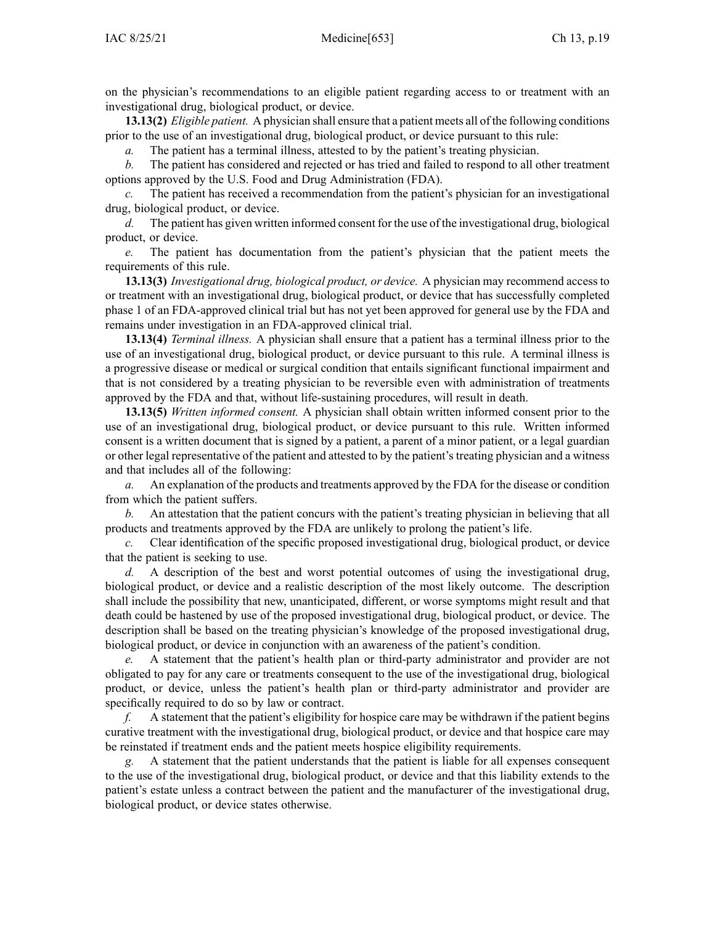on the physician's recommendations to an eligible patient regarding access to or treatment with an investigational drug, biological product, or device.

**13.13(2)** *Eligible patient.* A physician shall ensure that <sup>a</sup> patient meets all of the following conditions prior to the use of an investigational drug, biological product, or device pursuan<sup>t</sup> to this rule:

*a.* The patient has <sup>a</sup> terminal illness, attested to by the patient's treating physician.

*b.* The patient has considered and rejected or has tried and failed to respond to all other treatment options approved by the U.S. Food and Drug Administration (FDA).

The patient has received a recommendation from the patient's physician for an investigational drug, biological product, or device.

*d.* The patient has given written informed consent for the use of the investigational drug, biological product, or device.

*e.* The patient has documentation from the patient's physician that the patient meets the requirements of this rule.

**13.13(3)** *Investigational drug, biological product, or device.* A physician may recommend access to or treatment with an investigational drug, biological product, or device that has successfully completed phase 1 of an FDA-approved clinical trial but has not ye<sup>t</sup> been approved for general use by the FDA and remains under investigation in an FDA-approved clinical trial.

**13.13(4)** *Terminal illness.* A physician shall ensure that <sup>a</sup> patient has <sup>a</sup> terminal illness prior to the use of an investigational drug, biological product, or device pursuan<sup>t</sup> to this rule. A terminal illness is <sup>a</sup> progressive disease or medical or surgical condition that entails significant functional impairment and that is not considered by <sup>a</sup> treating physician to be reversible even with administration of treatments approved by the FDA and that, without life-sustaining procedures, will result in death.

**13.13(5)** *Written informed consent.* A physician shall obtain written informed consent prior to the use of an investigational drug, biological product, or device pursuan<sup>t</sup> to this rule. Written informed consent is <sup>a</sup> written document that is signed by <sup>a</sup> patient, <sup>a</sup> paren<sup>t</sup> of <sup>a</sup> minor patient, or <sup>a</sup> legal guardian or other legal representative of the patient and attested to by the patient's treating physician and <sup>a</sup> witness and that includes all of the following:

*a.* An explanation of the products and treatments approved by the FDA for the disease or condition from which the patient suffers.

*b.* An attestation that the patient concurs with the patient's treating physician in believing that all products and treatments approved by the FDA are unlikely to prolong the patient's life.

*c.* Clear identification of the specific proposed investigational drug, biological product, or device that the patient is seeking to use.

*d.* A description of the best and worst potential outcomes of using the investigational drug, biological product, or device and <sup>a</sup> realistic description of the most likely outcome. The description shall include the possibility that new, unanticipated, different, or worse symptoms might result and that death could be hastened by use of the proposed investigational drug, biological product, or device. The description shall be based on the treating physician's knowledge of the proposed investigational drug, biological product, or device in conjunction with an awareness of the patient's condition.

*e.* A statement that the patient's health plan or third-party administrator and provider are not obligated to pay for any care or treatments consequen<sup>t</sup> to the use of the investigational drug, biological product, or device, unless the patient's health plan or third-party administrator and provider are specifically required to do so by law or contract.

*f.* A statement that the patient's eligibility for hospice care may be withdrawn if the patient begins curative treatment with the investigational drug, biological product, or device and that hospice care may be reinstated if treatment ends and the patient meets hospice eligibility requirements.

*g.* A statement that the patient understands that the patient is liable for all expenses consequen<sup>t</sup> to the use of the investigational drug, biological product, or device and that this liability extends to the patient's estate unless <sup>a</sup> contract between the patient and the manufacturer of the investigational drug, biological product, or device states otherwise.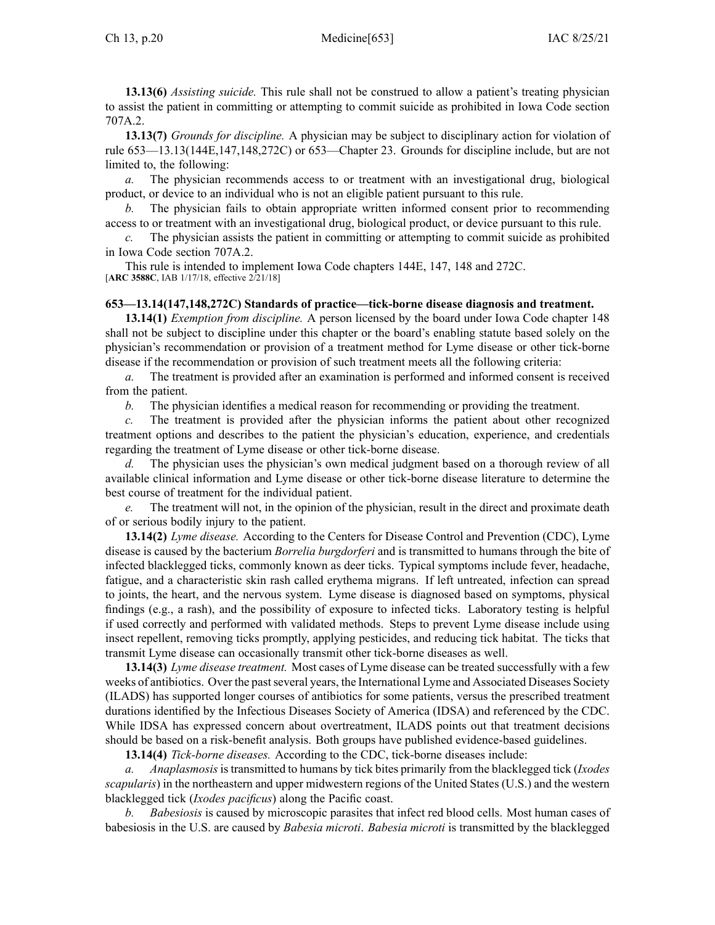**13.13(6)** *Assisting suicide.* This rule shall not be construed to allow <sup>a</sup> patient's treating physician to assist the patient in committing or attempting to commit suicide as prohibited in Iowa Code section [707A.2](https://www.legis.iowa.gov/docs/ico/section/2017/707A.2.pdf).

**13.13(7)** *Grounds for discipline.* A physician may be subject to disciplinary action for violation of rule 653—13.13(144E,147,148,272C) or 653—Chapter 23. Grounds for discipline include, but are not limited to, the following:

*a.* The physician recommends access to or treatment with an investigational drug, biological product, or device to an individual who is not an eligible patient pursuan<sup>t</sup> to this rule.

*b.* The physician fails to obtain appropriate written informed consent prior to recommending access to or treatment with an investigational drug, biological product, or device pursuan<sup>t</sup> to this rule.

*c.* The physician assists the patient in committing or attempting to commit suicide as prohibited in Iowa Code section [707A.2](https://www.legis.iowa.gov/docs/ico/section/2017/707A.2.pdf).

This rule is intended to implement Iowa Code chapters [144E](https://www.legis.iowa.gov/docs/ico/chapter/2018/144E.pdf), [147](https://www.legis.iowa.gov/docs/ico/chapter/2017/147.pdf), [148](https://www.legis.iowa.gov/docs/ico/chapter/2017/148.pdf) and [272C](https://www.legis.iowa.gov/docs/ico/chapter/2017/272C.pdf). [**ARC [3588C](https://www.legis.iowa.gov/docs/aco/arc/3588C.pdf)**, IAB 1/17/18, effective 2/21/18]

# **653—13.14(147,148,272C) Standards of practice—tick-borne disease diagnosis and treatment.**

**13.14(1)** *Exemption from discipline.* A person licensed by the board under Iowa Code chapter [148](https://www.legis.iowa.gov/docs/ico/chapter/2017/148.pdf) shall not be subject to discipline under this chapter or the board's enabling statute based solely on the physician's recommendation or provision of <sup>a</sup> treatment method for Lyme disease or other tick-borne disease if the recommendation or provision of such treatment meets all the following criteria:

*a.* The treatment is provided after an examination is performed and informed consent is received from the patient.

*b.* The physician identifies <sup>a</sup> medical reason for recommending or providing the treatment.

*c.* The treatment is provided after the physician informs the patient about other recognized treatment options and describes to the patient the physician's education, experience, and credentials regarding the treatment of Lyme disease or other tick-borne disease.

*d.* The physician uses the physician's own medical judgment based on <sup>a</sup> thorough review of all available clinical information and Lyme disease or other tick-borne disease literature to determine the best course of treatment for the individual patient.

*e.* The treatment will not, in the opinion of the physician, result in the direct and proximate death of or serious bodily injury to the patient.

**13.14(2)** *Lyme disease.* According to the Centers for Disease Control and Prevention (CDC), Lyme disease is caused by the bacterium *Borrelia burgdorferi* and is transmitted to humans through the bite of infected blacklegged ticks, commonly known as deer ticks. Typical symptoms include fever, headache, fatigue, and <sup>a</sup> characteristic skin rash called erythema migrans. If left untreated, infection can spread to joints, the heart, and the nervous system. Lyme disease is diagnosed based on symptoms, physical findings (e.g., <sup>a</sup> rash), and the possibility of exposure to infected ticks. Laboratory testing is helpful if used correctly and performed with validated methods. Steps to preven<sup>t</sup> Lyme disease include using insect repellent, removing ticks promptly, applying pesticides, and reducing tick habitat. The ticks that transmit Lyme disease can occasionally transmit other tick-borne diseases as well.

**13.14(3)** *Lyme disease treatment.* Most cases of Lyme disease can be treated successfully with <sup>a</sup> few weeks of antibiotics. Over the past several years, the International Lyme and Associated Diseases Society (ILADS) has supported longer courses of antibiotics for some patients, versus the prescribed treatment durations identified by the Infectious Diseases Society of America (IDSA) and referenced by the CDC. While IDSA has expressed concern about overtreatment, ILADS points out that treatment decisions should be based on <sup>a</sup> risk-benefit analysis. Both groups have published evidence-based guidelines.

**13.14(4)** *Tick-borne diseases.* According to the CDC, tick-borne diseases include:

*a. Anaplasmosis*istransmitted to humans by tick bites primarily from the blacklegged tick (*Ixodes scapularis*) in the northeastern and upper midwestern regions of the United States (U.S.) and the western blacklegged tick (*Ixodes pacificus*) along the Pacific coast.

*b. Babesiosis* is caused by microscopic parasites that infect red blood cells. Most human cases of babesiosis in the U.S. are caused by *Babesia microti*. *Babesia microti* is transmitted by the blacklegged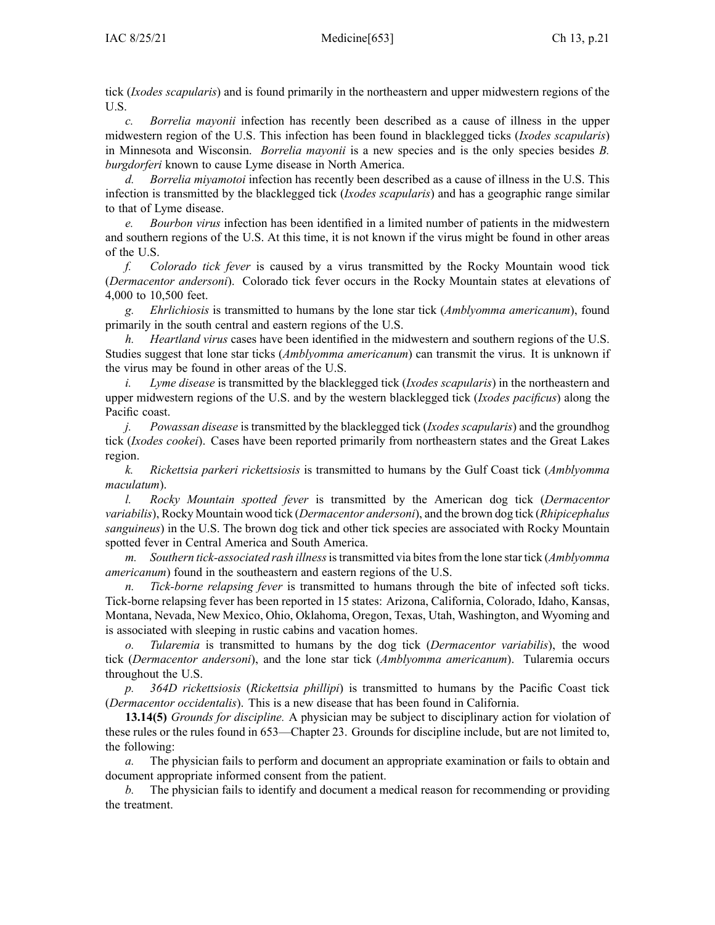tick (*Ixodes scapularis*) and is found primarily in the northeastern and upper midwestern regions of the U.S.

*c. Borrelia mayonii* infection has recently been described as <sup>a</sup> cause of illness in the upper midwestern region of the U.S. This infection has been found in blacklegged ticks (*Ixodes scapularis*) in Minnesota and Wisconsin. *Borrelia mayonii* is <sup>a</sup> new species and is the only species besides *B. burgdorferi* known to cause Lyme disease in North America.

*d. Borrelia miyamotoi* infection has recently been described as <sup>a</sup> cause of illness in the U.S. This infection is transmitted by the blacklegged tick (*Ixodes scapularis*) and has <sup>a</sup> geographic range similar to that of Lyme disease.

*e. Bourbon virus* infection has been identified in <sup>a</sup> limited number of patients in the midwestern and southern regions of the U.S. At this time, it is not known if the virus might be found in other areas of the U.S.

*f. Colorado tick fever* is caused by <sup>a</sup> virus transmitted by the Rocky Mountain wood tick (*Dermacentor andersoni*). Colorado tick fever occurs in the Rocky Mountain states at elevations of 4,000 to 10,500 feet.

*g. Ehrlichiosis* is transmitted to humans by the lone star tick (*Amblyomma americanum*), found primarily in the south central and eastern regions of the U.S.

*h. Heartland virus* cases have been identified in the midwestern and southern regions of the U.S. Studies sugges<sup>t</sup> that lone star ticks (*Amblyomma americanum*) can transmit the virus. It is unknown if the virus may be found in other areas of the U.S.

*i. Lyme disease* is transmitted by the blacklegged tick (*Ixodes scapularis*) in the northeastern and upper midwestern regions of the U.S. and by the western blacklegged tick (*Ixodes pacificus*) along the Pacific coast.

*j. Powassan disease* is transmitted by the blacklegged tick (*Ixodes scapularis*) and the groundhog tick (*Ixodes cookei*). Cases have been reported primarily from northeastern states and the Great Lakes region.

*k. Rickettsia parkeri rickettsiosis* is transmitted to humans by the Gulf Coast tick (*Amblyomma maculatum*).

*l. Rocky Mountain spotted fever* is transmitted by the American dog tick (*Dermacentor variabilis*), Rocky Mountain wood tick (*Dermacentor andersoni*), and the brown dog tick (*Rhipicephalus sanguineus*) in the U.S. The brown dog tick and other tick species are associated with Rocky Mountain spotted fever in Central America and South America.

*m. Southern tick-associated rash illness*istransmitted via bitesfrom the lone star tick (*Amblyomma americanum*) found in the southeastern and eastern regions of the U.S.

*n. Tick-borne relapsing fever* is transmitted to humans through the bite of infected soft ticks. Tick-borne relapsing fever has been reported in 15 states: Arizona, California, Colorado, Idaho, Kansas, Montana, Nevada, New Mexico, Ohio, Oklahoma, Oregon, Texas, Utah, Washington, and Wyoming and is associated with sleeping in rustic cabins and vacation homes.

*o. Tularemia* is transmitted to humans by the dog tick (*Dermacentor variabilis*), the wood tick (*Dermacentor andersoni*), and the lone star tick (*Amblyomma americanum*). Tularemia occurs throughout the U.S.

*p. 364D rickettsiosis* (*Rickettsia phillipi*) is transmitted to humans by the Pacific Coast tick (*Dermacentor occidentalis*). This is <sup>a</sup> new disease that has been found in California.

**13.14(5)** *Grounds for discipline.* A physician may be subject to disciplinary action for violation of these rules or the rules found in [653—Chapter](https://www.legis.iowa.gov/docs/iac/chapter/653.23.pdf) 23. Grounds for discipline include, but are not limited to, the following:

The physician fails to perform and document an appropriate examination or fails to obtain and document appropriate informed consent from the patient.

*b.* The physician fails to identify and document <sup>a</sup> medical reason for recommending or providing the treatment.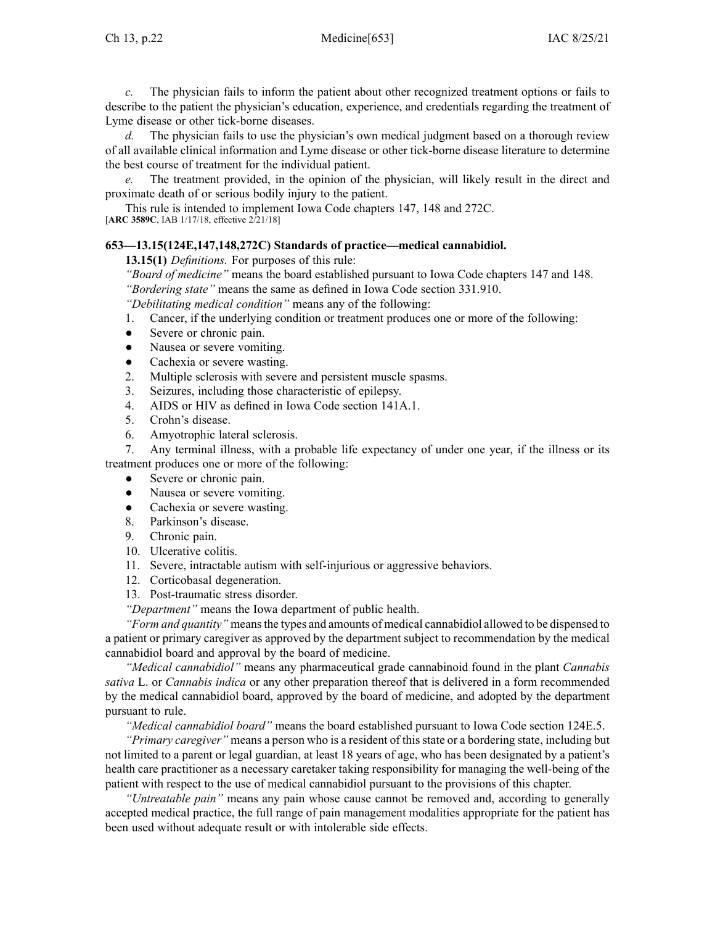*c.* The physician fails to inform the patient about other recognized treatment options or fails to describe to the patient the physician's education, experience, and credentials regarding the treatment of Lyme disease or other tick-borne diseases.

*d.* The physician fails to use the physician's own medical judgment based on <sup>a</sup> thorough review of all available clinical information and Lyme disease or other tick-borne disease literature to determine the best course of treatment for the individual patient.

*e.* The treatment provided, in the opinion of the physician, will likely result in the direct and proximate death of or serious bodily injury to the patient.

This rule is intended to implement Iowa Code chapters [147](https://www.legis.iowa.gov/docs/ico/chapter/2017/147.pdf), [148](https://www.legis.iowa.gov/docs/ico/chapter/2017/148.pdf) and [272C](https://www.legis.iowa.gov/docs/ico/chapter/2017/272C.pdf). [**ARC [3589C](https://www.legis.iowa.gov/docs/aco/arc/3589C.pdf)**, IAB 1/17/18, effective 2/21/18]

### **653—13.15(124E,147,148,272C) Standards of practice—medical cannabidiol.**

**13.15(1)** *Definitions.* For purposes of this rule:

*"Board of medicine"* means the board established pursuan<sup>t</sup> to Iowa Code chapters [147](https://www.legis.iowa.gov/docs/ico/chapter/2018/147.pdf) and [148](https://www.legis.iowa.gov/docs/ico/chapter/2018/148.pdf). *"Bordering state"* means the same as defined in Iowa Code section [331.910](https://www.legis.iowa.gov/docs/ico/section/2018/331.910.pdf).

*"Debilitating medical condition"* means any of the following:

- 1. Cancer, if the underlying condition or treatment produces one or more of the following:
- ●Severe or chronic pain.
- $\bullet$ Nausea or severe vomiting.
- $\bullet$ Cachexia or severe wasting.
- 2. Multiple sclerosis with severe and persistent muscle spasms.
- 3. Seizures, including those characteristic of epilepsy.
- 4. AIDS or HIV as defined in Iowa Code section [141A.1](https://www.legis.iowa.gov/docs/ico/section/2018/141A.1.pdf).
- 5. Crohn's disease.
- 6. Amyotrophic lateral sclerosis.

7. Any terminal illness, with <sup>a</sup> probable life expectancy of under one year, if the illness or its treatment produces one or more of the following:

- $\bullet$ Severe or chronic pain.
- ●Nausea or severe vomiting.
- $\bullet$ Cachexia or severe wasting.
- 8. Parkinson's disease.
- 9. Chronic pain.
- 10. Ulcerative colitis.
- 11. Severe, intractable autism with self-injurious or aggressive behaviors.
- 12. Corticobasal degeneration.
- 13. Post-traumatic stress disorder.

*"Department"* means the Iowa department of public health.

*"Form and quantity"* means the types and amounts of medical cannabidiol allowed to be dispensed to <sup>a</sup> patient or primary caregiver as approved by the department subject to recommendation by the medical cannabidiol board and approval by the board of medicine.

*"Medical cannabidiol"* means any pharmaceutical grade cannabinoid found in the plant *Cannabis sativa* L. or *Cannabis indica* or any other preparation thereof that is delivered in <sup>a</sup> form recommended by the medical cannabidiol board, approved by the board of medicine, and adopted by the department pursuan<sup>t</sup> to rule.

*"Medical cannabidiol board"* means the board established pursuan<sup>t</sup> to Iowa Code section [124E.5](https://www.legis.iowa.gov/docs/ico/section/2018/124E.5.pdf).

*"Primary caregiver"* means <sup>a</sup> person who is <sup>a</sup> resident of this state or <sup>a</sup> bordering state, including but not limited to <sup>a</sup> paren<sup>t</sup> or legal guardian, at least 18 years of age, who has been designated by <sup>a</sup> patient's health care practitioner as <sup>a</sup> necessary caretaker taking responsibility for managing the well-being of the patient with respec<sup>t</sup> to the use of medical cannabidiol pursuan<sup>t</sup> to the provisions of this chapter.

*"Untreatable pain"* means any pain whose cause cannot be removed and, according to generally accepted medical practice, the full range of pain managemen<sup>t</sup> modalities appropriate for the patient has been used without adequate result or with intolerable side effects.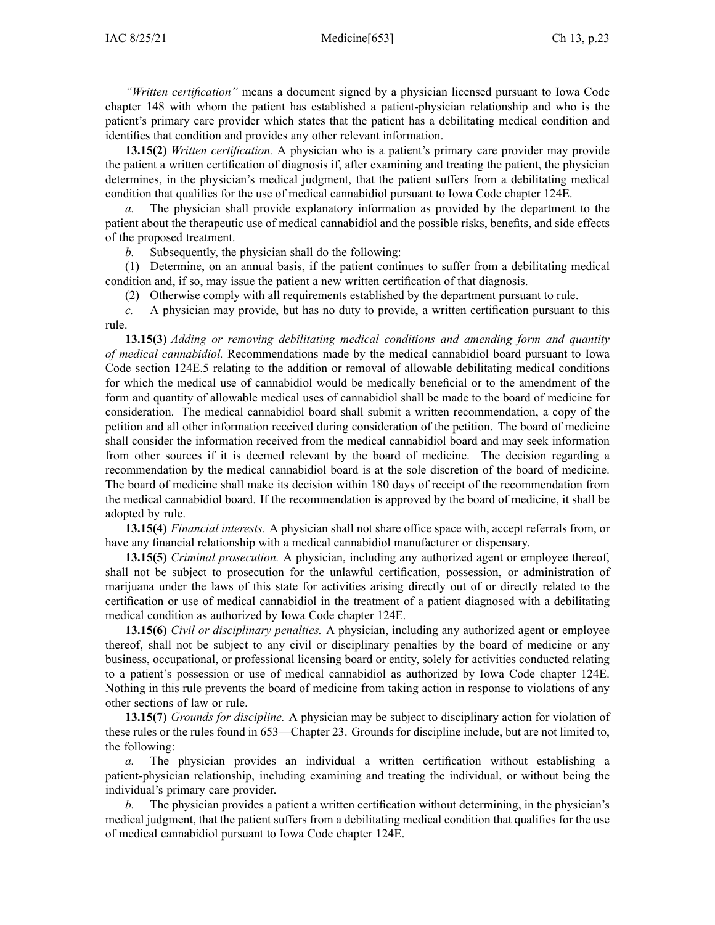*"Written certification"* means <sup>a</sup> document signed by <sup>a</sup> physician licensed pursuan<sup>t</sup> to Iowa Code chapter [148](https://www.legis.iowa.gov/docs/ico/chapter/2018/148.pdf) with whom the patient has established <sup>a</sup> patient-physician relationship and who is the patient's primary care provider which states that the patient has <sup>a</sup> debilitating medical condition and identifies that condition and provides any other relevant information.

**13.15(2)** *Written certification.* A physician who is <sup>a</sup> patient's primary care provider may provide the patient <sup>a</sup> written certification of diagnosis if, after examining and treating the patient, the physician determines, in the physician's medical judgment, that the patient suffers from <sup>a</sup> debilitating medical condition that qualifies for the use of medical cannabidiol pursuan<sup>t</sup> to Iowa Code chapter [124E](https://www.legis.iowa.gov/docs/ico/chapter/2018/124E.pdf).

*a.* The physician shall provide explanatory information as provided by the department to the patient about the therapeutic use of medical cannabidiol and the possible risks, benefits, and side effects of the proposed treatment.

*b.* Subsequently, the physician shall do the following:

(1) Determine, on an annual basis, if the patient continues to suffer from <sup>a</sup> debilitating medical condition and, if so, may issue the patient <sup>a</sup> new written certification of that diagnosis.

(2) Otherwise comply with all requirements established by the department pursuan<sup>t</sup> to rule.

*c.* A physician may provide, but has no duty to provide, <sup>a</sup> written certification pursuan<sup>t</sup> to this rule.

**13.15(3)** *Adding or removing debilitating medical conditions and amending form and quantity of medical cannabidiol.* Recommendations made by the medical cannabidiol board pursuan<sup>t</sup> to Iowa Code section [124E.5](https://www.legis.iowa.gov/docs/ico/section/2018/124E.5.pdf) relating to the addition or removal of allowable debilitating medical conditions for which the medical use of cannabidiol would be medically beneficial or to the amendment of the form and quantity of allowable medical uses of cannabidiol shall be made to the board of medicine for consideration. The medical cannabidiol board shall submit <sup>a</sup> written recommendation, <sup>a</sup> copy of the petition and all other information received during consideration of the petition. The board of medicine shall consider the information received from the medical cannabidiol board and may seek information from other sources if it is deemed relevant by the board of medicine. The decision regarding <sup>a</sup> recommendation by the medical cannabidiol board is at the sole discretion of the board of medicine. The board of medicine shall make its decision within 180 days of receipt of the recommendation from the medical cannabidiol board. If the recommendation is approved by the board of medicine, it shall be adopted by rule.

**13.15(4)** *Financial interests.* A physician shall not share office space with, accep<sup>t</sup> referrals from, or have any financial relationship with <sup>a</sup> medical cannabidiol manufacturer or dispensary.

**13.15(5)** *Criminal prosecution.* A physician, including any authorized agen<sup>t</sup> or employee thereof, shall not be subject to prosecution for the unlawful certification, possession, or administration of marijuana under the laws of this state for activities arising directly out of or directly related to the certification or use of medical cannabidiol in the treatment of <sup>a</sup> patient diagnosed with <sup>a</sup> debilitating medical condition as authorized by Iowa Code chapter [124E](https://www.legis.iowa.gov/docs/ico/chapter/2018/124E.pdf).

**13.15(6)** *Civil or disciplinary penalties.* A physician, including any authorized agen<sup>t</sup> or employee thereof, shall not be subject to any civil or disciplinary penalties by the board of medicine or any business, occupational, or professional licensing board or entity, solely for activities conducted relating to <sup>a</sup> patient's possession or use of medical cannabidiol as authorized by Iowa Code chapter [124E](https://www.legis.iowa.gov/docs/ico/chapter/2018/124E.pdf). Nothing in this rule prevents the board of medicine from taking action in response to violations of any other sections of law or rule.

**13.15(7)** *Grounds for discipline.* A physician may be subject to disciplinary action for violation of these rules or the rules found in 653—Chapter 23. Grounds for discipline include, but are not limited to, the following:

The physician provides an individual a written certification without establishing a patient-physician relationship, including examining and treating the individual, or without being the individual's primary care provider.

*b.* The physician provides <sup>a</sup> patient <sup>a</sup> written certification without determining, in the physician's medical judgment, that the patient suffers from <sup>a</sup> debilitating medical condition that qualifies for the use of medical cannabidiol pursuan<sup>t</sup> to Iowa Code chapter [124E](https://www.legis.iowa.gov/docs/ico/chapter/2018/124E.pdf).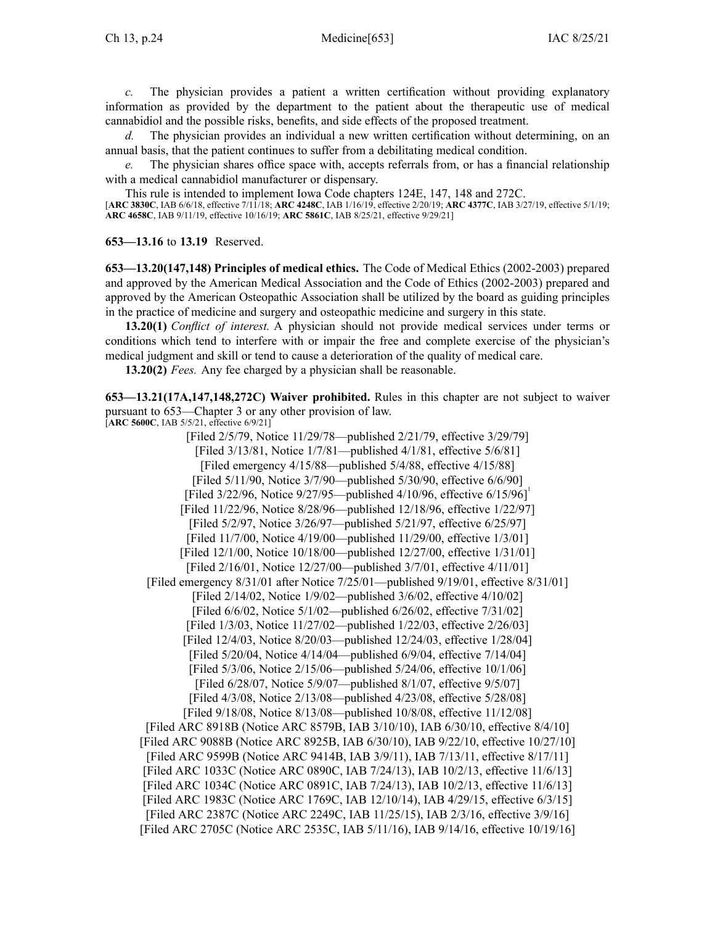*c.* The physician provides <sup>a</sup> patient <sup>a</sup> written certification without providing explanatory information as provided by the department to the patient about the therapeutic use of medical cannabidiol and the possible risks, benefits, and side effects of the proposed treatment.

*d.* The physician provides an individual <sup>a</sup> new written certification without determining, on an annual basis, that the patient continues to suffer from <sup>a</sup> debilitating medical condition.

*e.* The physician shares office space with, accepts referrals from, or has <sup>a</sup> financial relationship with <sup>a</sup> medical cannabidiol manufacturer or dispensary.

This rule is intended to implement Iowa Code chapters [124E](https://www.legis.iowa.gov/docs/ico/chapter/124E.pdf), [147](https://www.legis.iowa.gov/docs/ico/chapter/147.pdf), [148](https://www.legis.iowa.gov/docs/ico/chapter/148.pdf) and [272C](https://www.legis.iowa.gov/docs/ico/chapter/272C.pdf).

[**ARC [3830C](https://www.legis.iowa.gov/docs/aco/arc/3830C.pdf)**, IAB 6/6/18, effective 7/11/18; **ARC [4248C](https://www.legis.iowa.gov/docs/aco/arc/4248C.pdf)**, IAB 1/16/19, effective 2/20/19; **ARC [4377C](https://www.legis.iowa.gov/docs/aco/arc/4377C.pdf)**, IAB 3/27/19, effective 5/1/19; **ARC [4658C](https://www.legis.iowa.gov/docs/aco/arc/4658C.pdf)**, IAB 9/11/19, effective 10/16/19; **ARC [5861C](https://www.legis.iowa.gov/docs/aco/arc/5861C.pdf)**, IAB 8/25/21, effective 9/29/21]

**653—13.16** to **13.19** Reserved.

**653—13.20(147,148) Principles of medical ethics.** The Code of Medical Ethics (2002-2003) prepared and approved by the American Medical Association and the Code of Ethics (2002-2003) prepared and approved by the American Osteopathic Association shall be utilized by the board as guiding principles in the practice of medicine and surgery and osteopathic medicine and surgery in this state.

**13.20(1)** *Conflict of interest.* A physician should not provide medical services under terms or conditions which tend to interfere with or impair the free and complete exercise of the physician's medical judgment and skill or tend to cause <sup>a</sup> deterioration of the quality of medical care.

**13.20(2)** *Fees.* Any fee charged by <sup>a</sup> physician shall be reasonable.

**653—13.21(17A,147,148,272C) Waiver prohibited.** Rules in this chapter are not subject to waiver pursuan<sup>t</sup> to [653—Chapter](https://www.legis.iowa.gov/docs/iac/chapter/653.3.pdf) 3 or any other provision of law.

[**ARC [5600C](https://www.legis.iowa.gov/docs/aco/arc/5600C.pdf)**, IAB 5/5/21, effective 6/9/21]

[Filed 2/5/79, Notice 11/29/78—published 2/21/79, effective 3/29/79] [Filed 3/13/81, Notice 1/7/81—published 4/1/81, effective 5/6/81] [Filed emergency 4/15/88—published 5/4/88, effective 4/15/88] [Filed 5/11/90, Notice 3/7/90—published 5/30/90, effective 6/6/90] [Filed 3/22/96, Notice 9/27/95—published 4/10/96, effective 6/15/96] [Filed 11/22/96, Notice 8/28/96—published 12/18/96, effective 1/22/97] [Filed 5/2/97, Notice 3/26/97—published 5/21/97, effective 6/25/97] [Filed 11/7/00, Notice 4/19/00—published 11/29/00, effective 1/3/01] [Filed 12/1/00, Notice 10/18/00—published 12/27/00, effective 1/31/01] [Filed 2/16/01, Notice 12/27/00—published 3/7/01, effective 4/11/01] [Filed emergency 8/31/01 after Notice 7/25/01—published 9/19/01, effective 8/31/01] [Filed 2/14/02, Notice 1/9/02—published 3/6/02, effective 4/10/02] [Filed 6/6/02, Notice 5/1/02—published 6/26/02, effective 7/31/02] [Filed 1/3/03, Notice 11/27/02—published 1/22/03, effective 2/26/03] [Filed 12/4/03, Notice 8/20/03—published 12/24/03, effective 1/28/04] [Filed 5/20/04, Notice 4/14/04—published 6/9/04, effective 7/14/04] [Filed 5/3/06, Notice 2/15/06—published 5/24/06, effective 10/1/06] [Filed 6/28/07, Notice 5/9/07—published 8/1/07, effective 9/5/07] [Filed 4/3/08, Notice 2/13/08—published 4/23/08, effective 5/28/08] [Filed 9/18/08, Notice 8/13/08—published 10/8/08, effective 11/12/08] [[Filed](https://www.legis.iowa.gov/docs/aco/arc/8918B.pdf) ARC 8918B (Notice ARC [8579B](https://www.legis.iowa.gov/docs/aco/arc/8579B.pdf), IAB 3/10/10), IAB 6/30/10, effective 8/4/10] [[Filed](https://www.legis.iowa.gov/docs/aco/arc/9088B.pdf) ARC 9088B ([Notice](https://www.legis.iowa.gov/docs/aco/arc/8925B.pdf) ARC 8925B, IAB 6/30/10), IAB 9/22/10, effective 10/27/10] [Filed ARC [9599B](https://www.legis.iowa.gov/docs/aco/arc/9599B.pdf) [\(Notice](https://www.legis.iowa.gov/docs/aco/arc/9414B.pdf) ARC 9414B, IAB 3/9/11), IAB 7/13/11, effective 8/17/11] [[Filed](https://www.legis.iowa.gov/docs/aco/arc/1033C.pdf) ARC 1033C [\(Notice](https://www.legis.iowa.gov/docs/aco/arc/0890C.pdf) ARC 0890C, IAB 7/24/13), IAB 10/2/13, effective 11/6/13] [[Filed](https://www.legis.iowa.gov/docs/aco/arc/1034C.pdf) ARC 1034C [\(Notice](https://www.legis.iowa.gov/docs/aco/arc/0891C.pdf) ARC 0891C, IAB 7/24/13), IAB 10/2/13, effective 11/6/13] [[Filed](https://www.legis.iowa.gov/docs/aco/arc/1983C.pdf) ARC 1983C ([Notice](https://www.legis.iowa.gov/docs/aco/arc/1769C.pdf) ARC 1769C, IAB 12/10/14), IAB 4/29/15, effective 6/3/15] [\[Filed](https://www.legis.iowa.gov/docs/aco/arc/2387C.pdf) ARC 2387C ([Notice](https://www.legis.iowa.gov/docs/aco/arc/2249C.pdf) ARC 2249C, IAB 11/25/15), IAB 2/3/16, effective 3/9/16] [Filed ARC [2705C](https://www.legis.iowa.gov/docs/aco/arc/2705C.pdf) ([Notice](https://www.legis.iowa.gov/docs/aco/arc/2535C.pdf) ARC 2535C, IAB 5/11/16), IAB 9/14/16, effective 10/19/16]